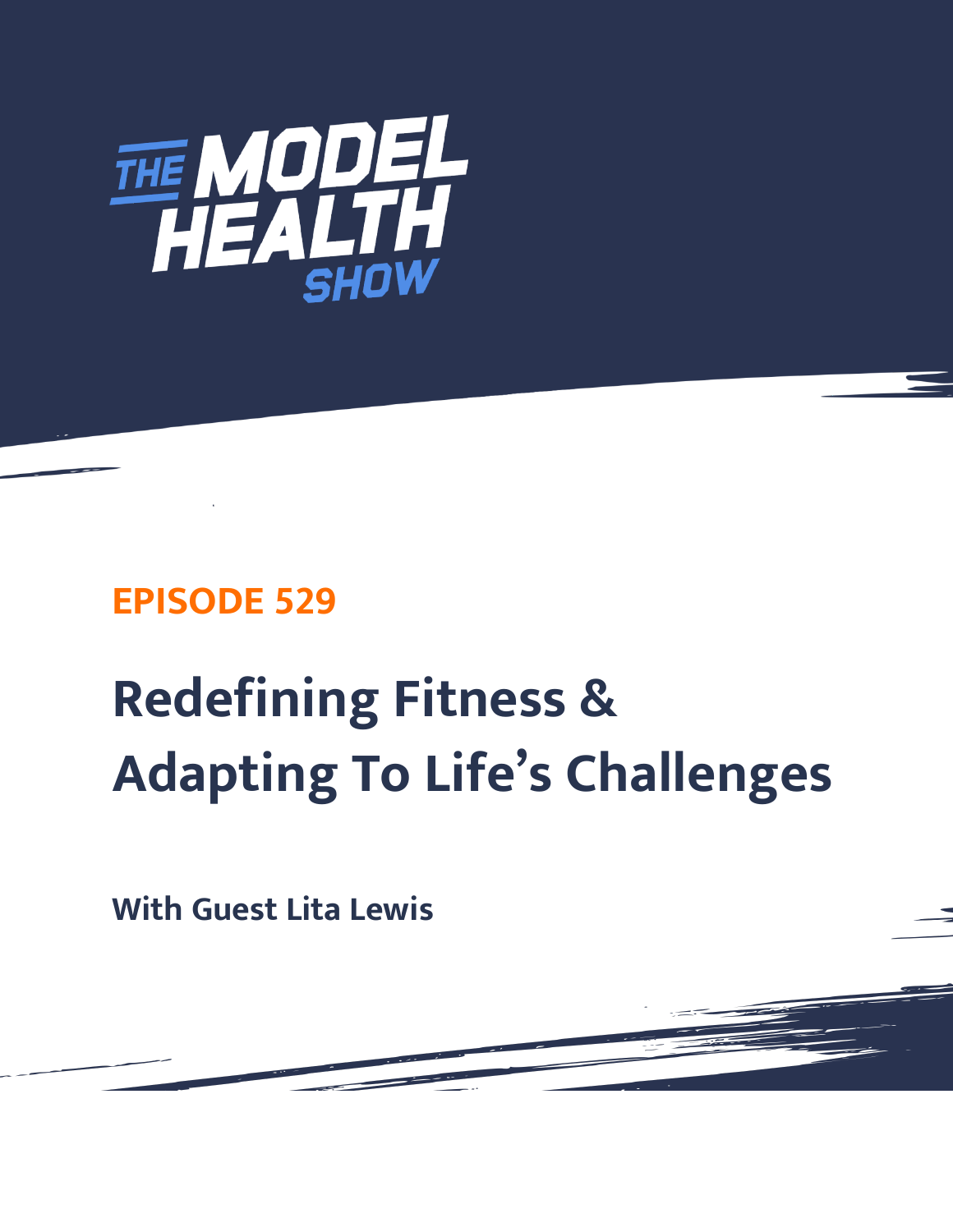

# **EPISODE 529**

# **Redefining Fitness & Adapting To Life's Challenges**

**With Guest Lita Lewis**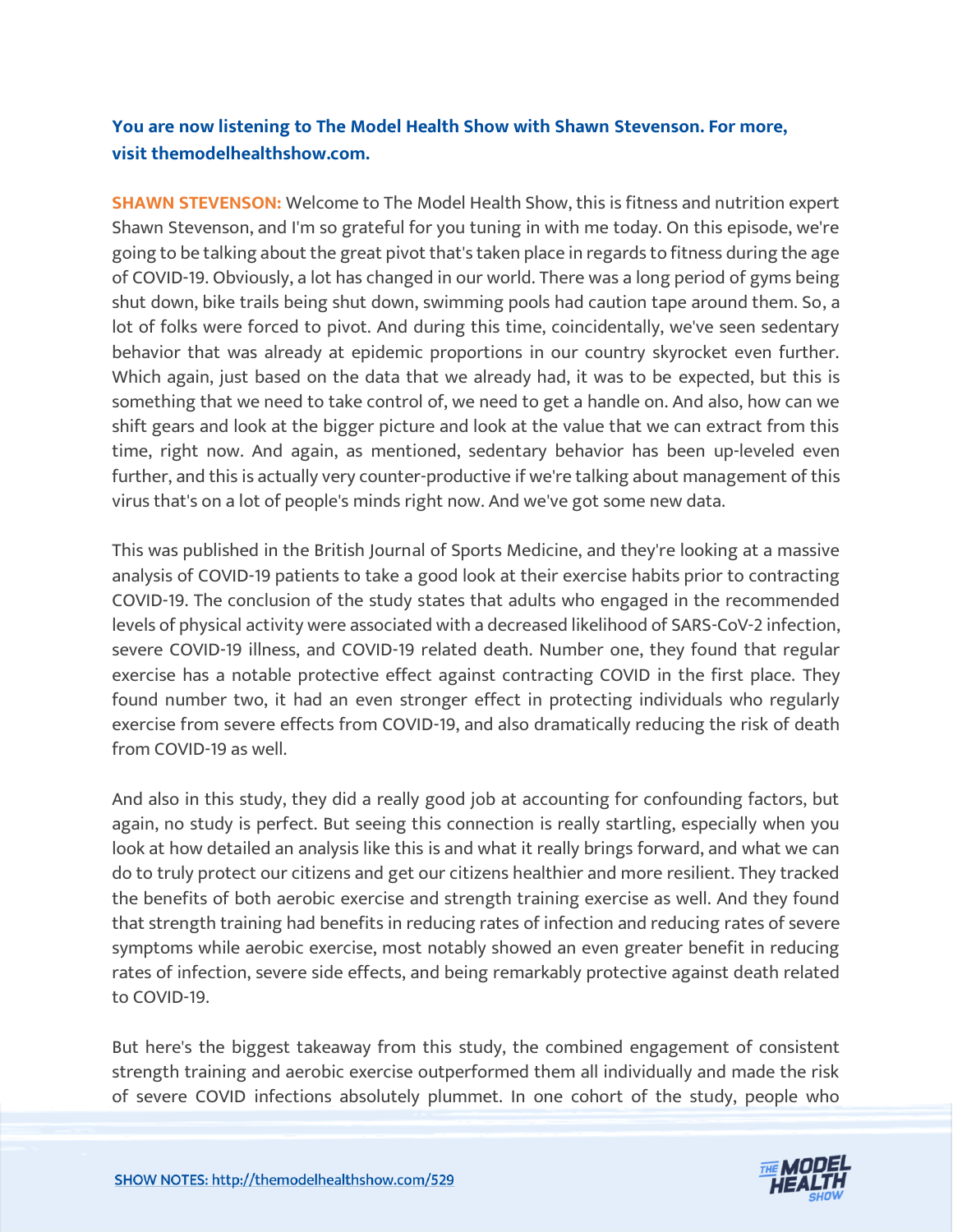# **You are now listening to The Model Health Show with Shawn Stevenson. For more, visit themodelhealthshow.com.**

**SHAWN STEVENSON:** Welcome to The Model Health Show, this is fitness and nutrition expert Shawn Stevenson, and I'm so grateful for you tuning in with me today. On this episode, we're going to be talking about the great pivot that's taken place in regards to fitness during the age of COVID-19. Obviously, a lot has changed in our world. There was a long period of gyms being shut down, bike trails being shut down, swimming pools had caution tape around them. So, a lot of folks were forced to pivot. And during this time, coincidentally, we've seen sedentary behavior that was already at epidemic proportions in our country skyrocket even further. Which again, just based on the data that we already had, it was to be expected, but this is something that we need to take control of, we need to get a handle on. And also, how can we shift gears and look at the bigger picture and look at the value that we can extract from this time, right now. And again, as mentioned, sedentary behavior has been up-leveled even further, and this is actually very counter-productive if we're talking about management of this virus that's on a lot of people's minds right now. And we've got some new data.

This was published in the British Journal of Sports Medicine, and they're looking at a massive analysis of COVID-19 patients to take a good look at their exercise habits prior to contracting COVID-19. The conclusion of the study states that adults who engaged in the recommended levels of physical activity were associated with a decreased likelihood of SARS-CoV-2 infection, severe COVID-19 illness, and COVID-19 related death. Number one, they found that regular exercise has a notable protective effect against contracting COVID in the first place. They found number two, it had an even stronger effect in protecting individuals who regularly exercise from severe effects from COVID-19, and also dramatically reducing the risk of death from COVID-19 as well.

And also in this study, they did a really good job at accounting for confounding factors, but again, no study is perfect. But seeing this connection is really startling, especially when you look at how detailed an analysis like this is and what it really brings forward, and what we can do to truly protect our citizens and get our citizens healthier and more resilient. They tracked the benefits of both aerobic exercise and strength training exercise as well. And they found that strength training had benefits in reducing rates of infection and reducing rates of severe symptoms while aerobic exercise, most notably showed an even greater benefit in reducing rates of infection, severe side effects, and being remarkably protective against death related to COVID-19.

But here's the biggest takeaway from this study, the combined engagement of consistent strength training and aerobic exercise outperformed them all individually and made the risk [of severe COVID infections absolutely plummet. In one cohort of the study, people who](https://themodelhealthshow.com/lita-lewis-redefining-fitness/) 

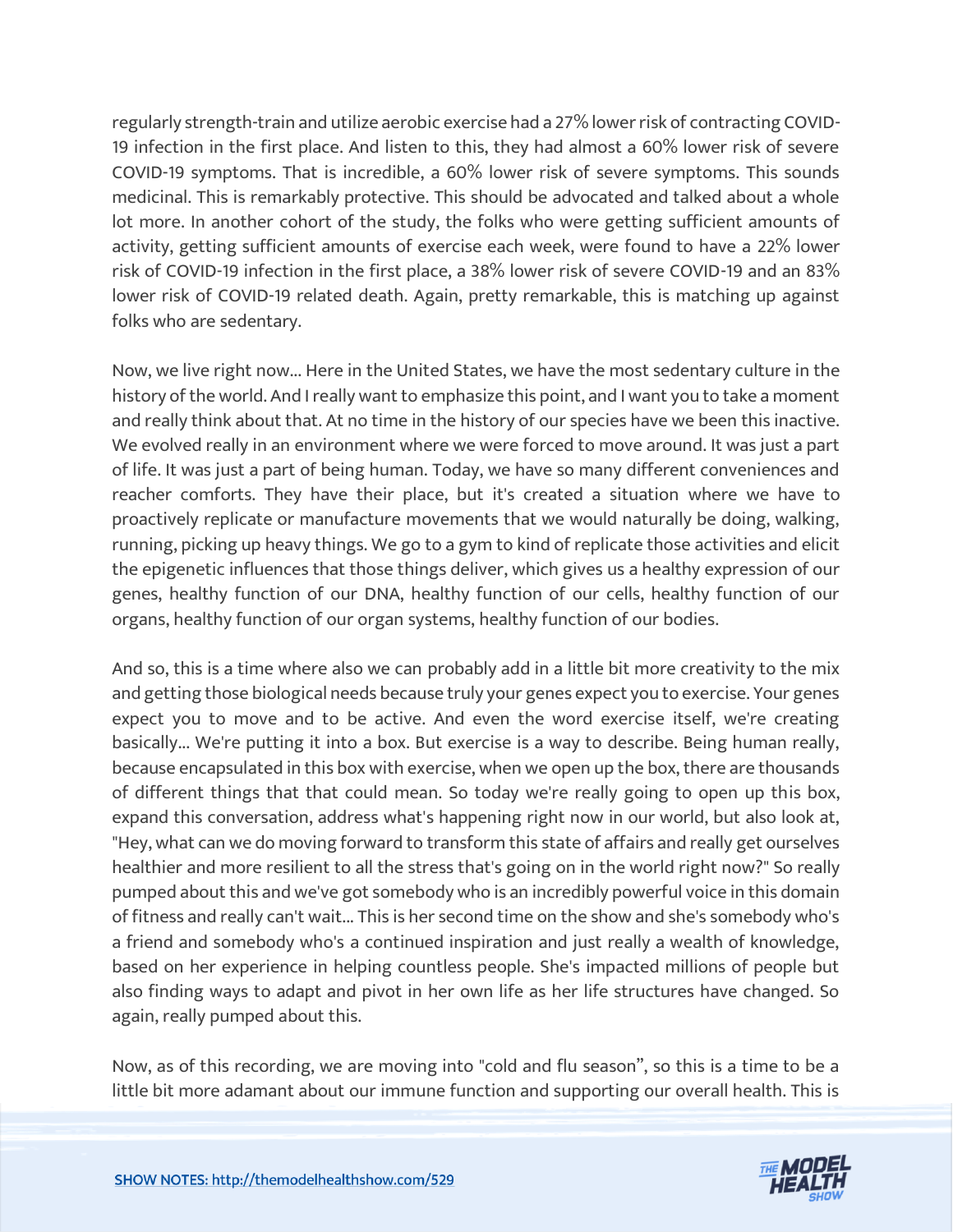regularly strength-train and utilize aerobic exercise had a 27% lower risk of contracting COVID-19 infection in the first place. And listen to this, they had almost a 60% lower risk of severe COVID-19 symptoms. That is incredible, a 60% lower risk of severe symptoms. This sounds medicinal. This is remarkably protective. This should be advocated and talked about a whole lot more. In another cohort of the study, the folks who were getting sufficient amounts of activity, getting sufficient amounts of exercise each week, were found to have a 22% lower risk of COVID-19 infection in the first place, a 38% lower risk of severe COVID-19 and an 83% lower risk of COVID-19 related death. Again, pretty remarkable, this is matching up against folks who are sedentary.

Now, we live right now... Here in the United States, we have the most sedentary culture in the history of the world. And I really want to emphasize this point, and I want you to take a moment and really think about that. At no time in the history of our species have we been this inactive. We evolved really in an environment where we were forced to move around. It was just a part of life. It was just a part of being human. Today, we have so many different conveniences and reacher comforts. They have their place, but it's created a situation where we have to proactively replicate or manufacture movements that we would naturally be doing, walking, running, picking up heavy things. We go to a gym to kind of replicate those activities and elicit the epigenetic influences that those things deliver, which gives us a healthy expression of our genes, healthy function of our DNA, healthy function of our cells, healthy function of our organs, healthy function of our organ systems, healthy function of our bodies.

And so, this is a time where also we can probably add in a little bit more creativity to the mix and getting those biological needs because truly your genes expect you to exercise. Your genes expect you to move and to be active. And even the word exercise itself, we're creating basically... We're putting it into a box. But exercise is a way to describe. Being human really, because encapsulated in this box with exercise, when we open up the box, there are thousands of different things that that could mean. So today we're really going to open up this box, expand this conversation, address what's happening right now in our world, but also look at, "Hey, what can we do moving forward to transform this state of affairs and really get ourselves healthier and more resilient to all the stress that's going on in the world right now?" So really pumped about this and we've got somebody who is an incredibly powerful voice in this domain of fitness and really can't wait... This is her second time on the show and she's somebody who's a friend and somebody who's a continued inspiration and just really a wealth of knowledge, based on her experience in helping countless people. She's impacted millions of people but also finding ways to adapt and pivot in her own life as her life structures have changed. So again, really pumped about this.

Now, as of this recording, we are moving into "cold and flu season", so this is a time to be a little bit more adamant about our immune function and supporting our overall health. This is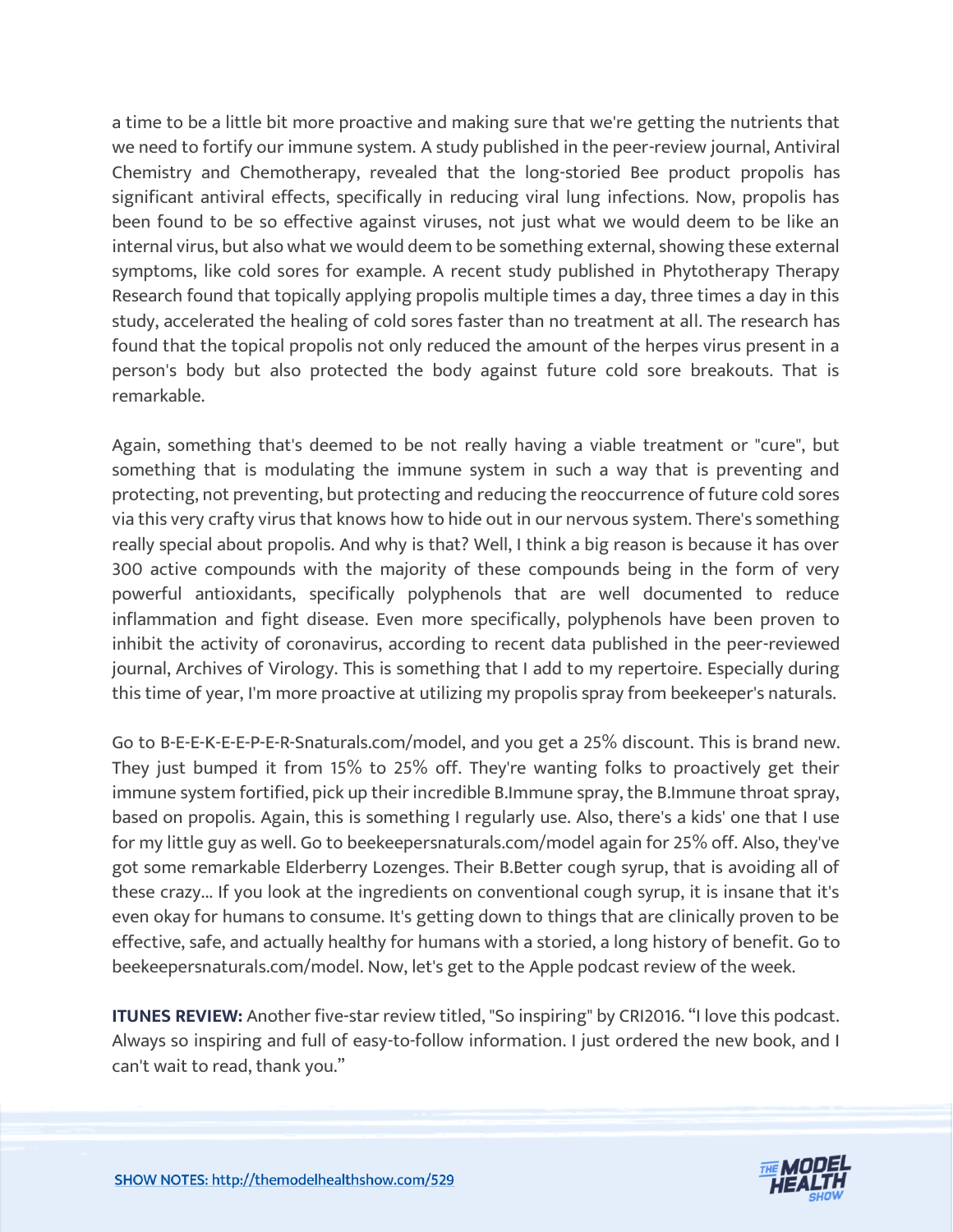a time to be a little bit more proactive and making sure that we're getting the nutrients that we need to fortify our immune system. A study published in the peer-review journal, Antiviral Chemistry and Chemotherapy, revealed that the long-storied Bee product propolis has significant antiviral effects, specifically in reducing viral lung infections. Now, propolis has been found to be so effective against viruses, not just what we would deem to be like an internal virus, but also what we would deem to be something external, showing these external symptoms, like cold sores for example. A recent study published in Phytotherapy Therapy Research found that topically applying propolis multiple times a day, three times a day in this study, accelerated the healing of cold sores faster than no treatment at all. The research has found that the topical propolis not only reduced the amount of the herpes virus present in a person's body but also protected the body against future cold sore breakouts. That is remarkable.

Again, something that's deemed to be not really having a viable treatment or "cure", but something that is modulating the immune system in such a way that is preventing and protecting, not preventing, but protecting and reducing the reoccurrence of future cold sores via this very crafty virus that knows how to hide out in our nervous system. There's something really special about propolis. And why is that? Well, I think a big reason is because it has over 300 active compounds with the majority of these compounds being in the form of very powerful antioxidants, specifically polyphenols that are well documented to reduce inflammation and fight disease. Even more specifically, polyphenols have been proven to inhibit the activity of coronavirus, according to recent data published in the peer-reviewed journal, Archives of Virology. This is something that I add to my repertoire. Especially during this time of year, I'm more proactive at utilizing my propolis spray from beekeeper's naturals.

Go to B-E-E-K-E-E-P-E-R-Snaturals.com/model, and you get a 25% discount. This is brand new. They just bumped it from 15% to 25% off. They're wanting folks to proactively get their immune system fortified, pick up their incredible B.Immune spray, the B.Immune throat spray, based on propolis. Again, this is something I regularly use. Also, there's a kids' one that I use for my little guy as well. Go to beekeepersnaturals.com/model again for 25% off. Also, they've got some remarkable Elderberry Lozenges. Their B.Better cough syrup, that is avoiding all of these crazy... If you look at the ingredients on conventional cough syrup, it is insane that it's even okay for humans to consume. It's getting down to things that are clinically proven to be effective, safe, and actually healthy for humans with a storied, a long history of benefit. Go to beekeepersnaturals.com/model. Now, let's get to the Apple podcast review of the week.

**ITUNES REVIEW:** Another five-star review titled, "So inspiring" by CRI2016. "I love this podcast. Always so inspiring and full of easy-to-follow information. I just ordered the new book, and I can't wait to read, thank you."

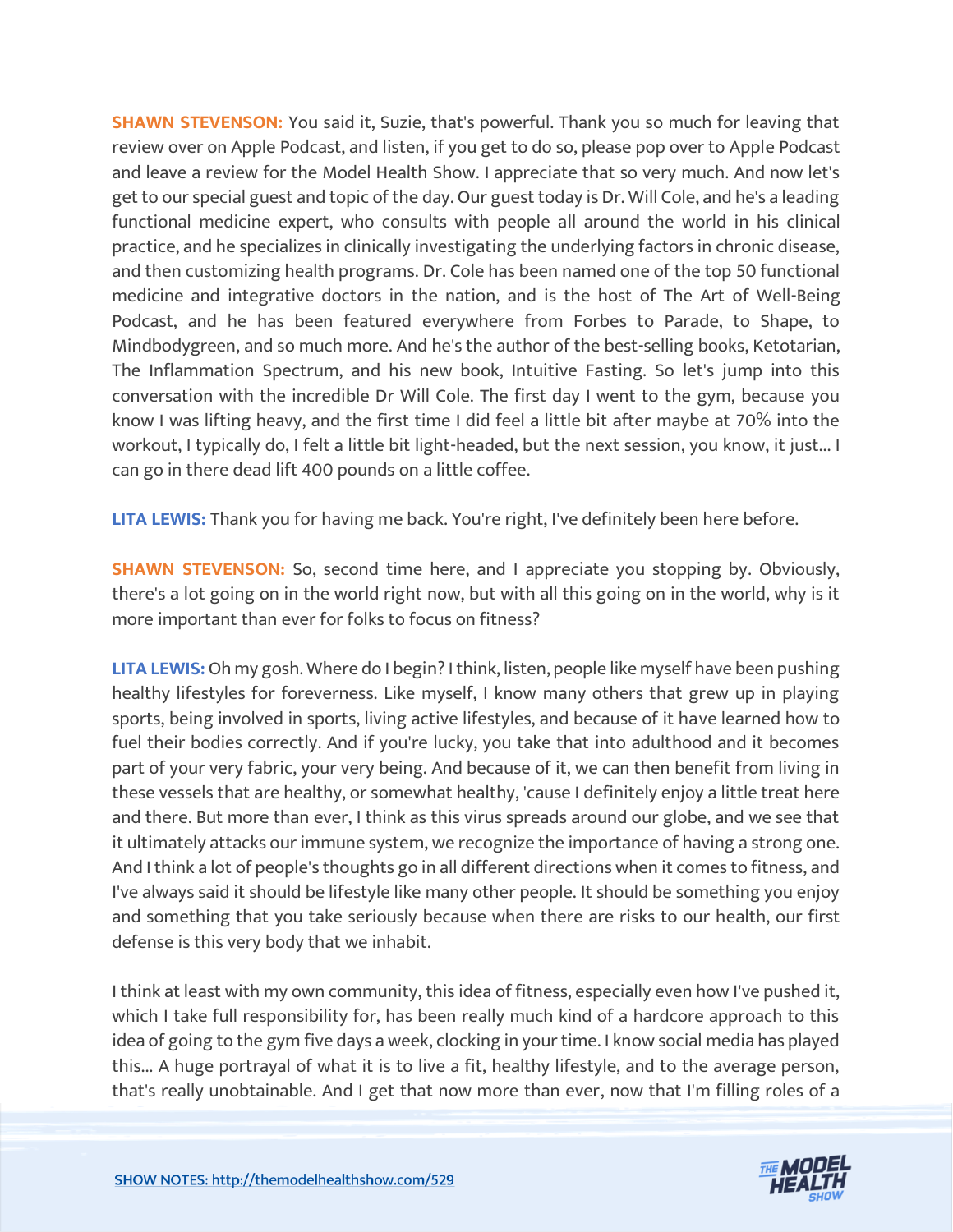**SHAWN STEVENSON:** You said it, Suzie, that's powerful. Thank you so much for leaving that review over on Apple Podcast, and listen, if you get to do so, please pop over to Apple Podcast and leave a review for the Model Health Show. I appreciate that so very much. And now let's get to our special guest and topic of the day. Our guest today is Dr. Will Cole, and he's a leading functional medicine expert, who consults with people all around the world in his clinical practice, and he specializes in clinically investigating the underlying factors in chronic disease, and then customizing health programs. Dr. Cole has been named one of the top 50 functional medicine and integrative doctors in the nation, and is the host of The Art of Well-Being Podcast, and he has been featured everywhere from Forbes to Parade, to Shape, to Mindbodygreen, and so much more. And he's the author of the best-selling books, Ketotarian, The Inflammation Spectrum, and his new book, Intuitive Fasting. So let's jump into this conversation with the incredible Dr Will Cole. The first day I went to the gym, because you know I was lifting heavy, and the first time I did feel a little bit after maybe at 70% into the workout, I typically do, I felt a little bit light-headed, but the next session, you know, it just... I can go in there dead lift 400 pounds on a little coffee.

**LITA LEWIS:** Thank you for having me back. You're right, I've definitely been here before.

**SHAWN STEVENSON:** So, second time here, and I appreciate you stopping by. Obviously, there's a lot going on in the world right now, but with all this going on in the world, why is it more important than ever for folks to focus on fitness?

**LITA LEWIS:** Oh my gosh. Where do I begin? I think, listen, people like myself have been pushing healthy lifestyles for foreverness. Like myself, I know many others that grew up in playing sports, being involved in sports, living active lifestyles, and because of it have learned how to fuel their bodies correctly. And if you're lucky, you take that into adulthood and it becomes part of your very fabric, your very being. And because of it, we can then benefit from living in these vessels that are healthy, or somewhat healthy, 'cause I definitely enjoy a little treat here and there. But more than ever, I think as this virus spreads around our globe, and we see that it ultimately attacks our immune system, we recognize the importance of having a strong one. And I think a lot of people's thoughts go in all different directions when it comes to fitness, and I've always said it should be lifestyle like many other people. It should be something you enjoy and something that you take seriously because when there are risks to our health, our first defense is this very body that we inhabit.

I think at least with my own community, this idea of fitness, especially even how I've pushed it, which I take full responsibility for, has been really much kind of a hardcore approach to this idea of going to the gym five days a week, clocking in your time. I know social media has played this... A huge portrayal of what it is to live a fit, healthy lifestyle, and to the average person, that's really unobtainable. And I get that now more than ever, now that I'm filling roles of a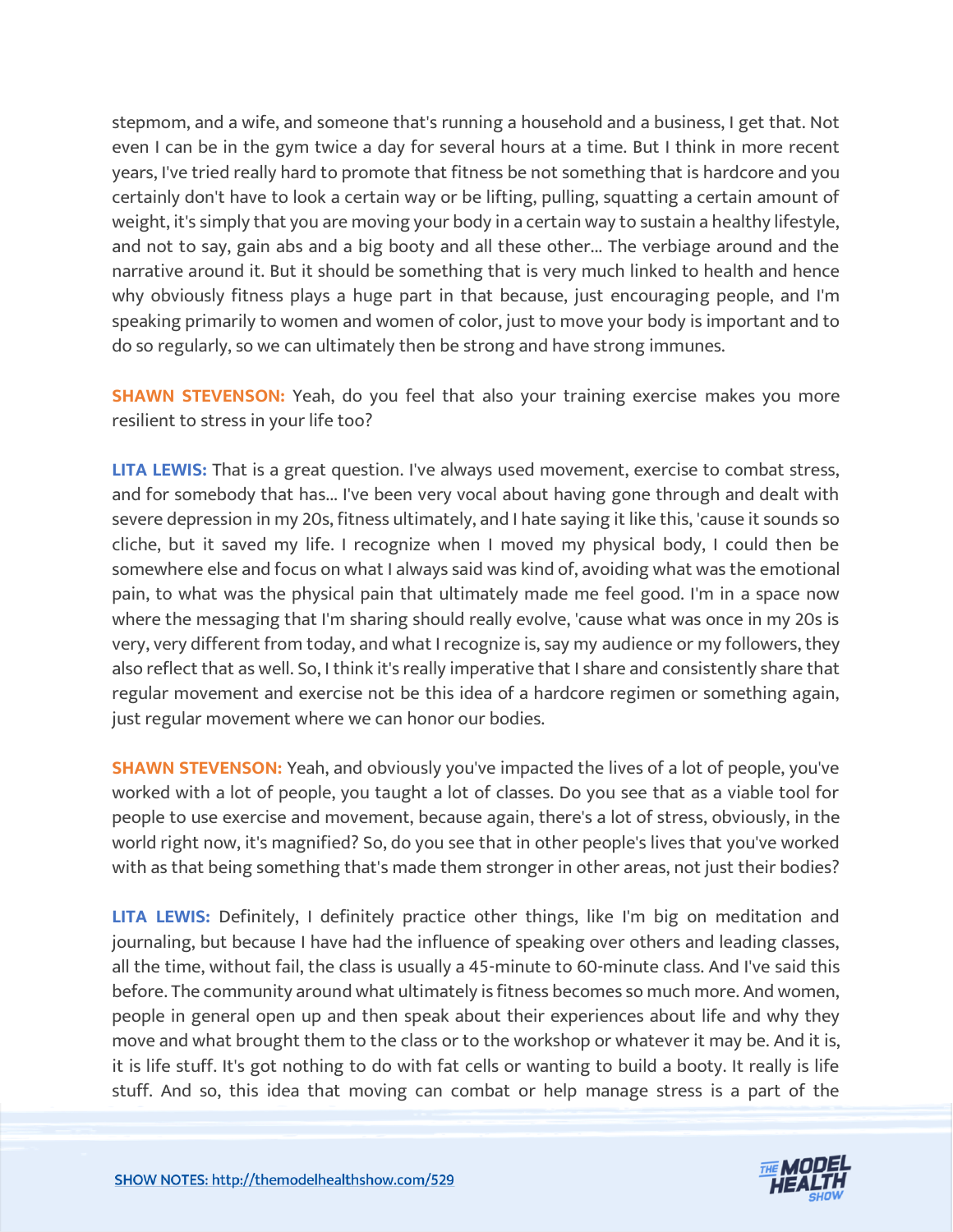stepmom, and a wife, and someone that's running a household and a business, I get that. Not even I can be in the gym twice a day for several hours at a time. But I think in more recent years, I've tried really hard to promote that fitness be not something that is hardcore and you certainly don't have to look a certain way or be lifting, pulling, squatting a certain amount of weight, it's simply that you are moving your body in a certain way to sustain a healthy lifestyle, and not to say, gain abs and a big booty and all these other... The verbiage around and the narrative around it. But it should be something that is very much linked to health and hence why obviously fitness plays a huge part in that because, just encouraging people, and I'm speaking primarily to women and women of color, just to move your body is important and to do so regularly, so we can ultimately then be strong and have strong immunes.

**SHAWN STEVENSON:** Yeah, do you feel that also your training exercise makes you more resilient to stress in your life too?

**LITA LEWIS:** That is a great question. I've always used movement, exercise to combat stress, and for somebody that has... I've been very vocal about having gone through and dealt with severe depression in my 20s, fitness ultimately, and I hate saying it like this, 'cause it sounds so cliche, but it saved my life. I recognize when I moved my physical body, I could then be somewhere else and focus on what I always said was kind of, avoiding what was the emotional pain, to what was the physical pain that ultimately made me feel good. I'm in a space now where the messaging that I'm sharing should really evolve, 'cause what was once in my 20s is very, very different from today, and what I recognize is, say my audience or my followers, they also reflect that as well. So, I think it's really imperative that I share and consistently share that regular movement and exercise not be this idea of a hardcore regimen or something again, just regular movement where we can honor our bodies.

**SHAWN STEVENSON:** Yeah, and obviously you've impacted the lives of a lot of people, you've worked with a lot of people, you taught a lot of classes. Do you see that as a viable tool for people to use exercise and movement, because again, there's a lot of stress, obviously, in the world right now, it's magnified? So, do you see that in other people's lives that you've worked with as that being something that's made them stronger in other areas, not just their bodies?

**LITA LEWIS:** Definitely, I definitely practice other things, like I'm big on meditation and journaling, but because I have had the influence of speaking over others and leading classes, all the time, without fail, the class is usually a 45-minute to 60-minute class. And I've said this before. The community around what ultimately is fitness becomes so much more. And women, people in general open up and then speak about their experiences about life and why they move and what brought them to the class or to the workshop or whatever it may be. And it is, it is life stuff. It's got nothing to do with fat cells or wanting to build a booty. It really is life stuff. And so, this idea that moving can combat or help manage stress is a part of the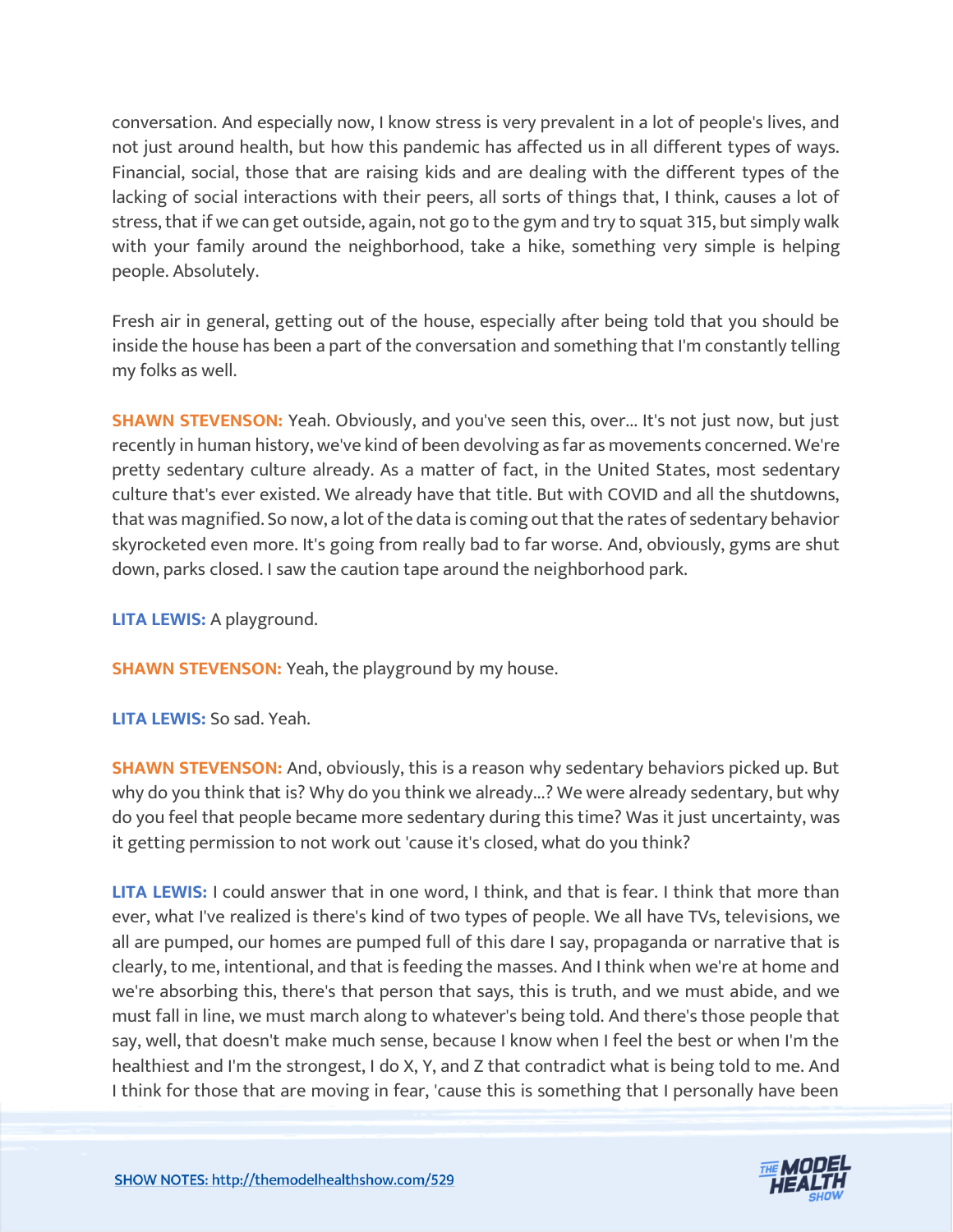conversation. And especially now, I know stress is very prevalent in a lot of people's lives, and not just around health, but how this pandemic has affected us in all different types of ways. Financial, social, those that are raising kids and are dealing with the different types of the lacking of social interactions with their peers, all sorts of things that, I think, causes a lot of stress, that if we can get outside, again, not go to the gym and try to squat 315, but simply walk with your family around the neighborhood, take a hike, something very simple is helping people. Absolutely.

Fresh air in general, getting out of the house, especially after being told that you should be inside the house has been a part of the conversation and something that I'm constantly telling my folks as well.

**SHAWN STEVENSON:** Yeah. Obviously, and you've seen this, over... It's not just now, but just recently in human history, we've kind of been devolving as far as movements concerned. We're pretty sedentary culture already. As a matter of fact, in the United States, most sedentary culture that's ever existed. We already have that title. But with COVID and all the shutdowns, that was magnified. So now, a lot of the data is coming out that the rates of sedentary behavior skyrocketed even more. It's going from really bad to far worse. And, obviously, gyms are shut down, parks closed. I saw the caution tape around the neighborhood park.

**LITA LEWIS:** A playground.

**SHAWN STEVENSON:** Yeah, the playground by my house.

**LITA LEWIS:** So sad. Yeah.

**SHAWN STEVENSON:** And, obviously, this is a reason why sedentary behaviors picked up. But why do you think that is? Why do you think we already...? We were already sedentary, but why do you feel that people became more sedentary during this time? Was it just uncertainty, was it getting permission to not work out 'cause it's closed, what do you think?

**LITA LEWIS:** I could answer that in one word, I think, and that is fear. I think that more than ever, what I've realized is there's kind of two types of people. We all have TVs, televisions, we all are pumped, our homes are pumped full of this dare I say, propaganda or narrative that is clearly, to me, intentional, and that is feeding the masses. And I think when we're at home and we're absorbing this, there's that person that says, this is truth, and we must abide, and we must fall in line, we must march along to whatever's being told. And there's those people that say, well, that doesn't make much sense, because I know when I feel the best or when I'm the healthiest and I'm the strongest, I do X, Y, and Z that contradict what is being told to me. And I think for those that are moving in fear, 'cause this is something that I personally have been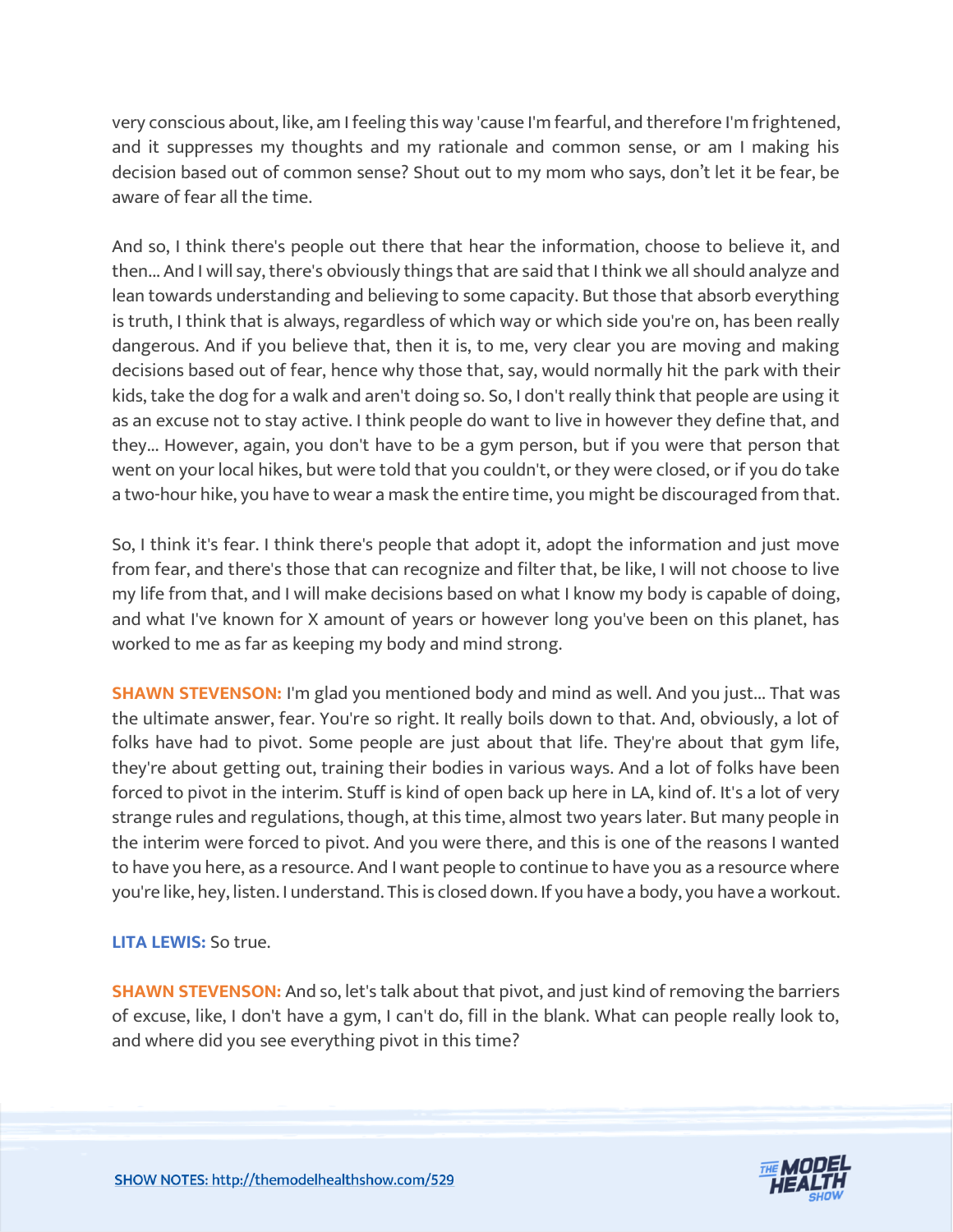very conscious about, like, am I feeling this way 'cause I'm fearful, and therefore I'm frightened, and it suppresses my thoughts and my rationale and common sense, or am I making his decision based out of common sense? Shout out to my mom who says, don't let it be fear, be aware of fear all the time.

And so, I think there's people out there that hear the information, choose to believe it, and then... And I will say, there's obviously things that are said that I think we all should analyze and lean towards understanding and believing to some capacity. But those that absorb everything is truth, I think that is always, regardless of which way or which side you're on, has been really dangerous. And if you believe that, then it is, to me, very clear you are moving and making decisions based out of fear, hence why those that, say, would normally hit the park with their kids, take the dog for a walk and aren't doing so. So, I don't really think that people are using it as an excuse not to stay active. I think people do want to live in however they define that, and they... However, again, you don't have to be a gym person, but if you were that person that went on your local hikes, but were told that you couldn't, or they were closed, or if you do take a two-hour hike, you have to wear a mask the entire time, you might be discouraged from that.

So, I think it's fear. I think there's people that adopt it, adopt the information and just move from fear, and there's those that can recognize and filter that, be like, I will not choose to live my life from that, and I will make decisions based on what I know my body is capable of doing, and what I've known for X amount of years or however long you've been on this planet, has worked to me as far as keeping my body and mind strong.

**SHAWN STEVENSON:** I'm glad you mentioned body and mind as well. And you just... That was the ultimate answer, fear. You're so right. It really boils down to that. And, obviously, a lot of folks have had to pivot. Some people are just about that life. They're about that gym life, they're about getting out, training their bodies in various ways. And a lot of folks have been forced to pivot in the interim. Stuff is kind of open back up here in LA, kind of. It's a lot of very strange rules and regulations, though, at this time, almost two years later. But many people in the interim were forced to pivot. And you were there, and this is one of the reasons I wanted to have you here, as a resource. And I want people to continue to have you as a resource where you're like, hey, listen. I understand. This is closed down. If you have a body, you have a workout.

**LITA LEWIS:** So true.

**SHAWN STEVENSON:** And so, let's talk about that pivot, and just kind of removing the barriers of excuse, like, I don't have a gym, I can't do, fill in the blank. What can people really look to, and where did you see everything pivot in this time?

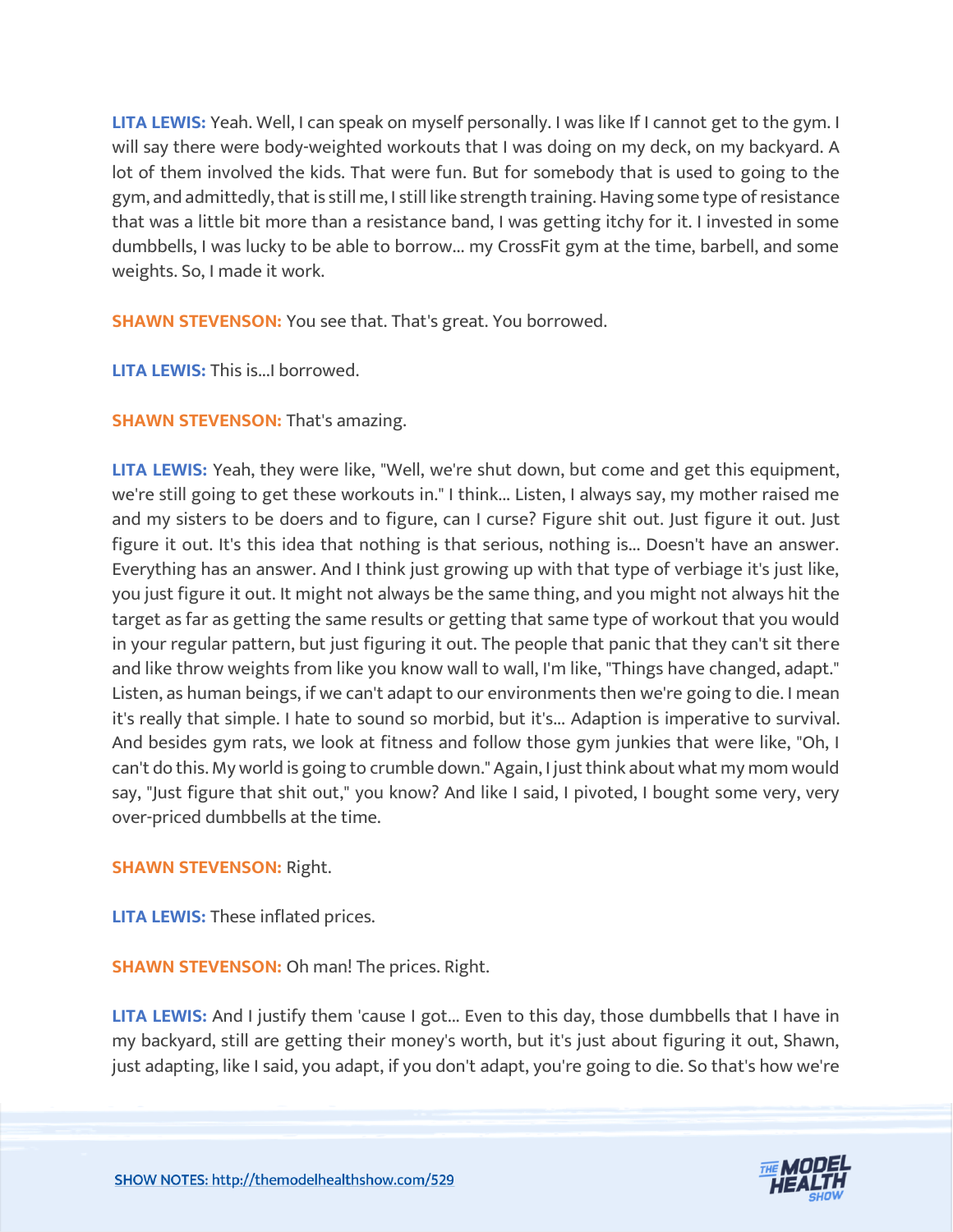**LITA LEWIS:** Yeah. Well, I can speak on myself personally. I was like If I cannot get to the gym. I will say there were body-weighted workouts that I was doing on my deck, on my backyard. A lot of them involved the kids. That were fun. But for somebody that is used to going to the gym, and admittedly, that is still me, I still like strength training. Having some type of resistance that was a little bit more than a resistance band, I was getting itchy for it. I invested in some dumbbells, I was lucky to be able to borrow... my CrossFit gym at the time, barbell, and some weights. So, I made it work.

**SHAWN STEVENSON:** You see that. That's great. You borrowed.

**LITA LEWIS:** This is...I borrowed.

# **SHAWN STEVENSON: That's amazing.**

**LITA LEWIS:** Yeah, they were like, "Well, we're shut down, but come and get this equipment, we're still going to get these workouts in." I think... Listen, I always say, my mother raised me and my sisters to be doers and to figure, can I curse? Figure shit out. Just figure it out. Just figure it out. It's this idea that nothing is that serious, nothing is... Doesn't have an answer. Everything has an answer. And I think just growing up with that type of verbiage it's just like, you just figure it out. It might not always be the same thing, and you might not always hit the target as far as getting the same results or getting that same type of workout that you would in your regular pattern, but just figuring it out. The people that panic that they can't sit there and like throw weights from like you know wall to wall, I'm like, "Things have changed, adapt." Listen, as human beings, if we can't adapt to our environments then we're going to die. I mean it's really that simple. I hate to sound so morbid, but it's... Adaption is imperative to survival. And besides gym rats, we look at fitness and follow those gym junkies that were like, "Oh, I can't do this. My world is going to crumble down." Again, I just think about what my mom would say, "Just figure that shit out," you know? And like I said, I pivoted, I bought some very, very over-priced dumbbells at the time.

# **SHAWN STEVENSON:** Right.

**LITA LEWIS:** These inflated prices.

**SHAWN STEVENSON: Oh man! The prices. Right.** 

**LITA LEWIS:** And I justify them 'cause I got... Even to this day, those dumbbells that I have in my backyard, still are getting their money's worth, but it's just about figuring it out, Shawn, just adapting, like I said, you adapt, if you don't adapt, you're going to die. So that's how we're

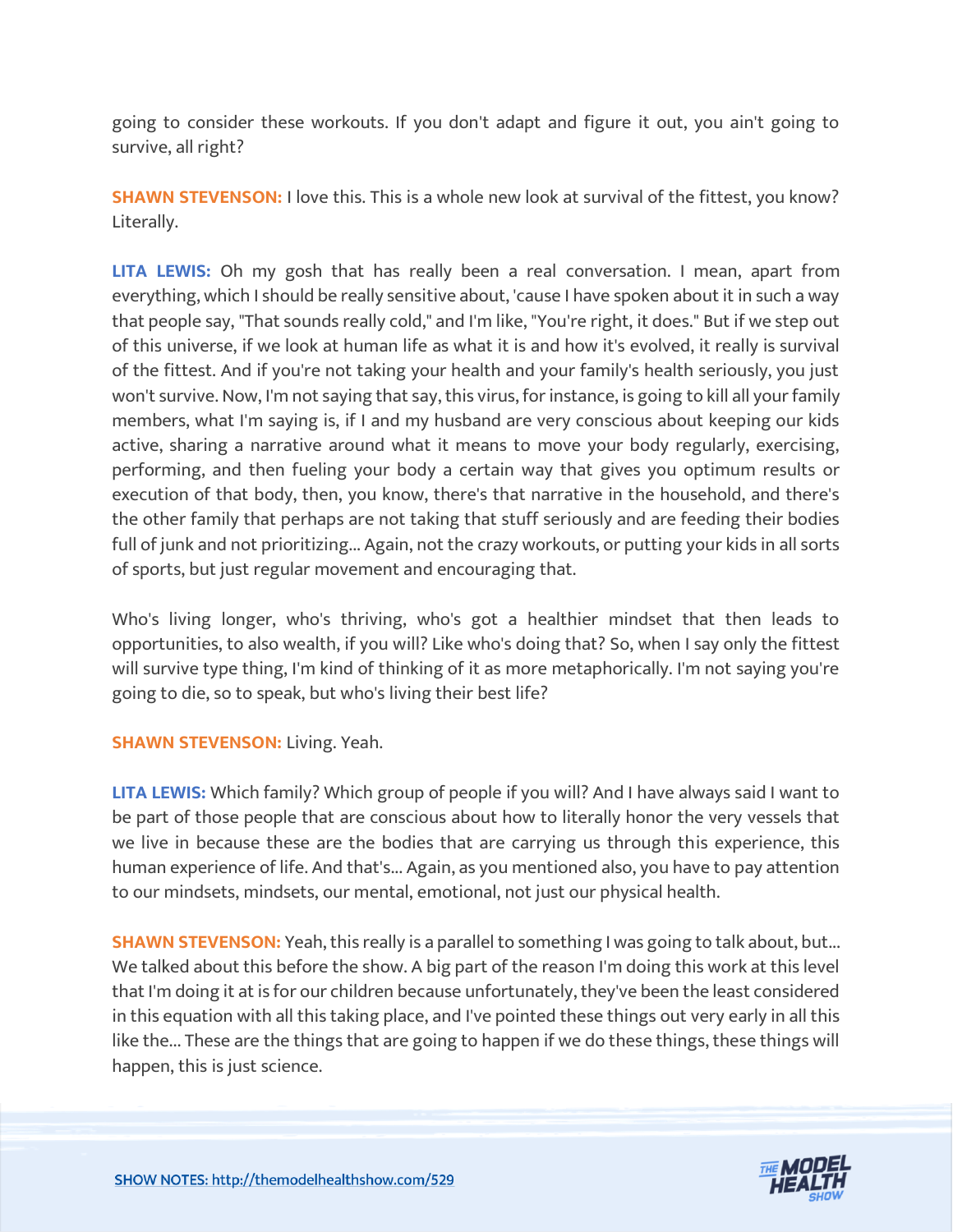going to consider these workouts. If you don't adapt and figure it out, you ain't going to survive, all right?

**SHAWN STEVENSON: I** love this. This is a whole new look at survival of the fittest, you know? Literally.

**LITA LEWIS:** Oh my gosh that has really been a real conversation. I mean, apart from everything, which I should be really sensitive about, 'cause I have spoken about it in such a way that people say, "That sounds really cold," and I'm like, "You're right, it does." But if we step out of this universe, if we look at human life as what it is and how it's evolved, it really is survival of the fittest. And if you're not taking your health and your family's health seriously, you just won't survive. Now, I'm not saying that say, this virus, for instance, is going to kill all your family members, what I'm saying is, if I and my husband are very conscious about keeping our kids active, sharing a narrative around what it means to move your body regularly, exercising, performing, and then fueling your body a certain way that gives you optimum results or execution of that body, then, you know, there's that narrative in the household, and there's the other family that perhaps are not taking that stuff seriously and are feeding their bodies full of junk and not prioritizing... Again, not the crazy workouts, or putting your kids in all sorts of sports, but just regular movement and encouraging that.

Who's living longer, who's thriving, who's got a healthier mindset that then leads to opportunities, to also wealth, if you will? Like who's doing that? So, when I say only the fittest will survive type thing, I'm kind of thinking of it as more metaphorically. I'm not saying you're going to die, so to speak, but who's living their best life?

# **SHAWN STEVENSON: Living. Yeah.**

**LITA LEWIS:** Which family? Which group of people if you will? And I have always said I want to be part of those people that are conscious about how to literally honor the very vessels that we live in because these are the bodies that are carrying us through this experience, this human experience of life. And that's... Again, as you mentioned also, you have to pay attention to our mindsets, mindsets, our mental, emotional, not just our physical health.

**SHAWN STEVENSON:** Yeah, this really is a parallel to something I was going to talk about, but... We talked about this before the show. A big part of the reason I'm doing this work at this level that I'm doing it at is for our children because unfortunately, they've been the least considered in this equation with all this taking place, and I've pointed these things out very early in all this like the... These are the things that are going to happen if we do these things, these things will happen, this is just science.

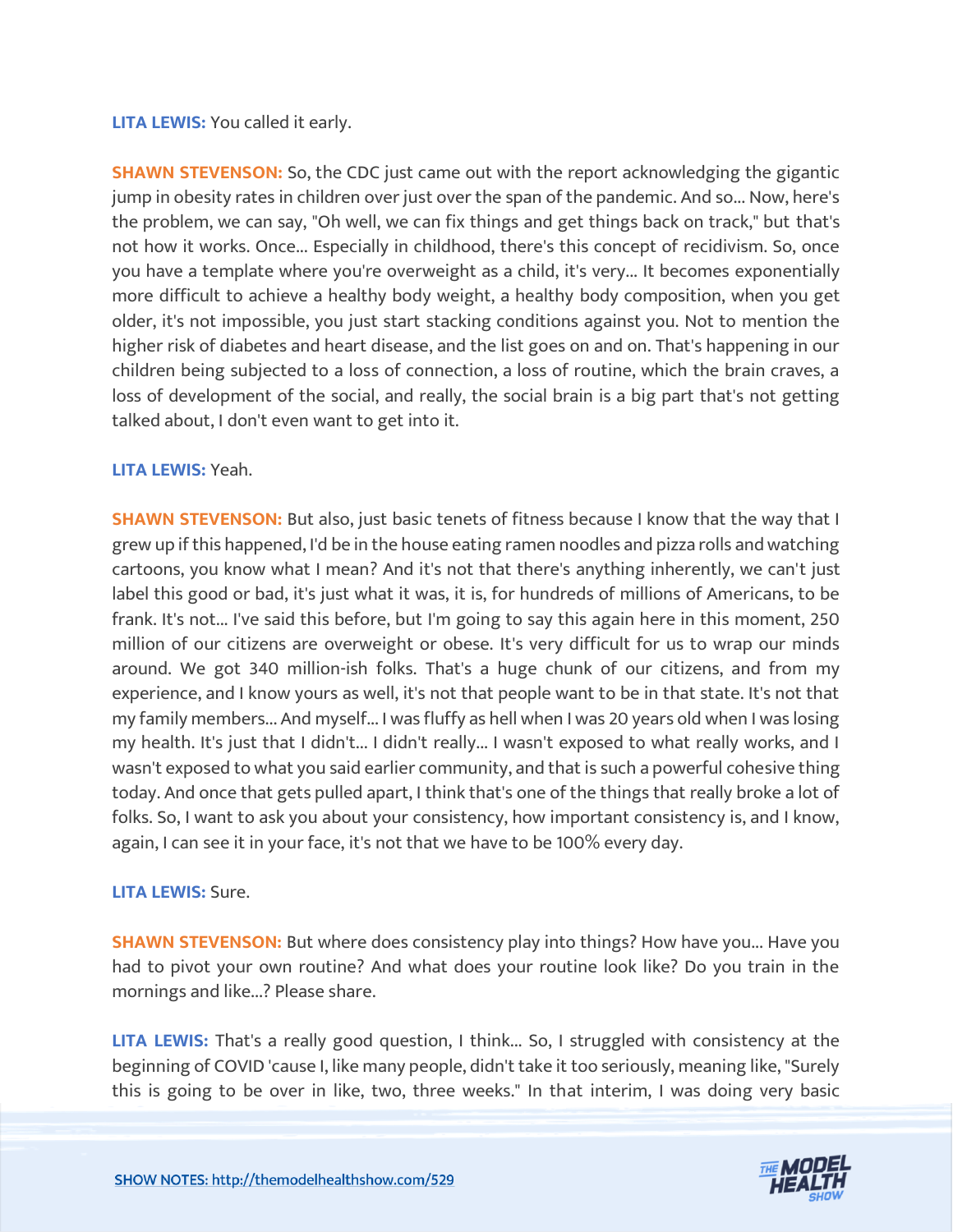#### **LITA LEWIS:** You called it early.

**SHAWN STEVENSON:** So, the CDC just came out with the report acknowledging the gigantic jump in obesity rates in children over just over the span of the pandemic. And so... Now, here's the problem, we can say, "Oh well, we can fix things and get things back on track," but that's not how it works. Once... Especially in childhood, there's this concept of recidivism. So, once you have a template where you're overweight as a child, it's very... It becomes exponentially more difficult to achieve a healthy body weight, a healthy body composition, when you get older, it's not impossible, you just start stacking conditions against you. Not to mention the higher risk of diabetes and heart disease, and the list goes on and on. That's happening in our children being subjected to a loss of connection, a loss of routine, which the brain craves, a loss of development of the social, and really, the social brain is a big part that's not getting talked about, I don't even want to get into it.

#### **LITA LEWIS:** Yeah.

**SHAWN STEVENSON:** But also, just basic tenets of fitness because I know that the way that I grew up if this happened, I'd be in the house eating ramen noodles and pizza rolls and watching cartoons, you know what I mean? And it's not that there's anything inherently, we can't just label this good or bad, it's just what it was, it is, for hundreds of millions of Americans, to be frank. It's not... I've said this before, but I'm going to say this again here in this moment, 250 million of our citizens are overweight or obese. It's very difficult for us to wrap our minds around. We got 340 million-ish folks. That's a huge chunk of our citizens, and from my experience, and I know yours as well, it's not that people want to be in that state. It's not that my family members... And myself... I was fluffy as hell when I was 20 years old when I was losing my health. It's just that I didn't... I didn't really... I wasn't exposed to what really works, and I wasn't exposed to what you said earlier community, and that is such a powerful cohesive thing today. And once that gets pulled apart, I think that's one of the things that really broke a lot of folks. So, I want to ask you about your consistency, how important consistency is, and I know, again, I can see it in your face, it's not that we have to be 100% every day.

#### **LITA LEWIS:** Sure.

**SHAWN STEVENSON:** But where does consistency play into things? How have you... Have you had to pivot your own routine? And what does your routine look like? Do you train in the mornings and like...? Please share.

**LITA LEWIS:** That's a really good question, I think... So, I struggled with consistency at the beginning of COVID 'cause I, like many people, didn't take it too seriously, meaning like, "Surely this is going to be over in like, two, three weeks." In that interim, I was doing very basic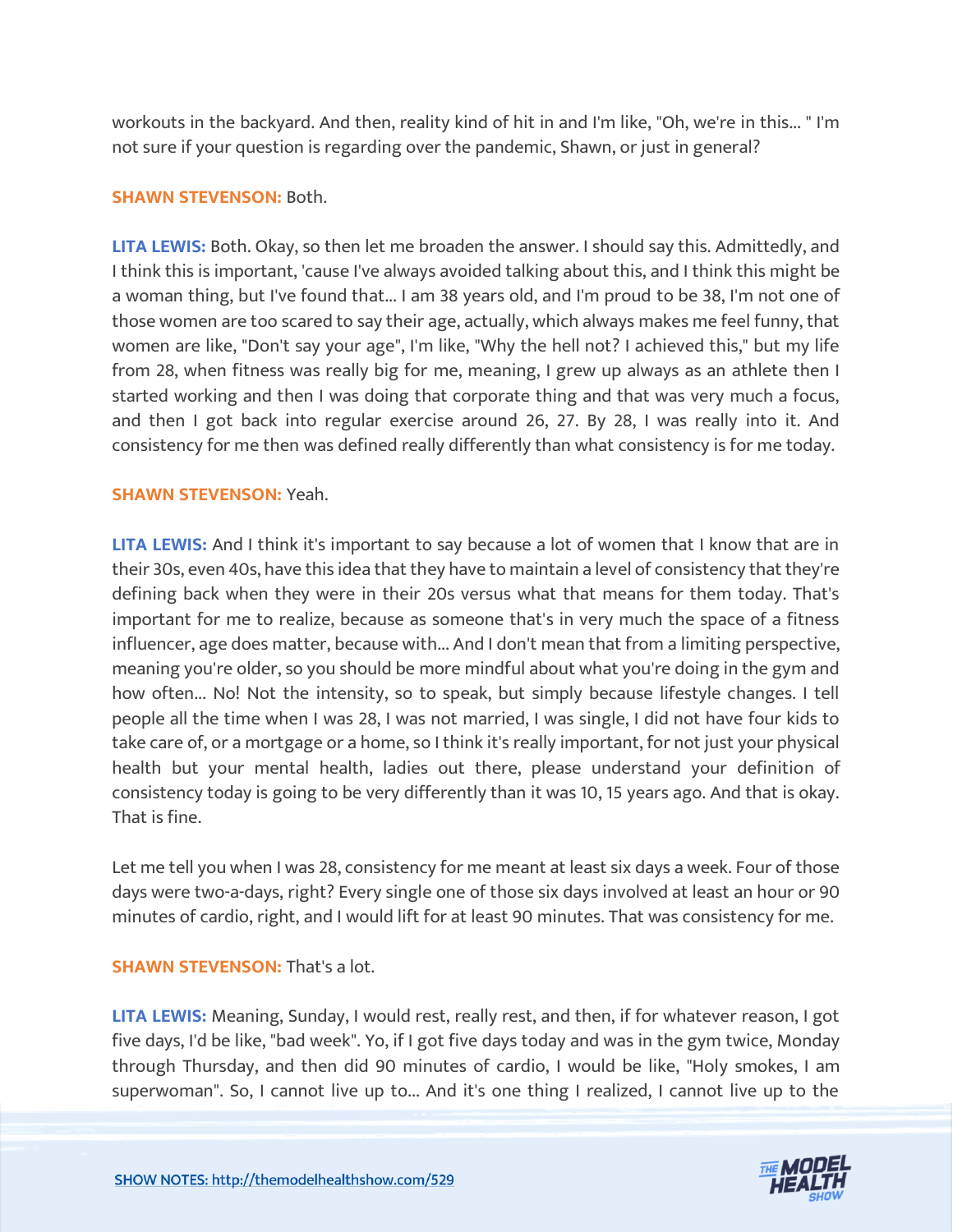workouts in the backyard. And then, reality kind of hit in and I'm like, "Oh, we're in this... " I'm not sure if your question is regarding over the pandemic, Shawn, or just in general?

### **SHAWN STEVENSON:** Both.

**LITA LEWIS:** Both. Okay, so then let me broaden the answer. I should say this. Admittedly, and I think this is important, 'cause I've always avoided talking about this, and I think this might be a woman thing, but I've found that... I am 38 years old, and I'm proud to be 38, I'm not one of those women are too scared to say their age, actually, which always makes me feel funny, that women are like, "Don't say your age", I'm like, "Why the hell not? I achieved this," but my life from 28, when fitness was really big for me, meaning, I grew up always as an athlete then I started working and then I was doing that corporate thing and that was very much a focus, and then I got back into regular exercise around 26, 27. By 28, I was really into it. And consistency for me then was defined really differently than what consistency is for me today.

#### **SHAWN STEVENSON:** Yeah.

**LITA LEWIS:** And I think it's important to say because a lot of women that I know that are in their 30s, even 40s, have this idea that they have to maintain a level of consistency that they're defining back when they were in their 20s versus what that means for them today. That's important for me to realize, because as someone that's in very much the space of a fitness influencer, age does matter, because with... And I don't mean that from a limiting perspective, meaning you're older, so you should be more mindful about what you're doing in the gym and how often... No! Not the intensity, so to speak, but simply because lifestyle changes. I tell people all the time when I was 28, I was not married, I was single, I did not have four kids to take care of, or a mortgage or a home, so I think it's really important, for not just your physical health but your mental health, ladies out there, please understand your definition of consistency today is going to be very differently than it was 10, 15 years ago. And that is okay. That is fine.

Let me tell you when I was 28, consistency for me meant at least six days a week. Four of those days were two-a-days, right? Every single one of those six days involved at least an hour or 90 minutes of cardio, right, and I would lift for at least 90 minutes. That was consistency for me.

#### **SHAWN STEVENSON: That's a lot.**

**LITA LEWIS:** Meaning, Sunday, I would rest, really rest, and then, if for whatever reason, I got five days, I'd be like, "bad week". Yo, if I got five days today and was in the gym twice, Monday through Thursday, and then did 90 minutes of cardio, I would be like, "Holy smokes, I am superwoman". So, I cannot live up to... And it's one thing I realized, I cannot live up to the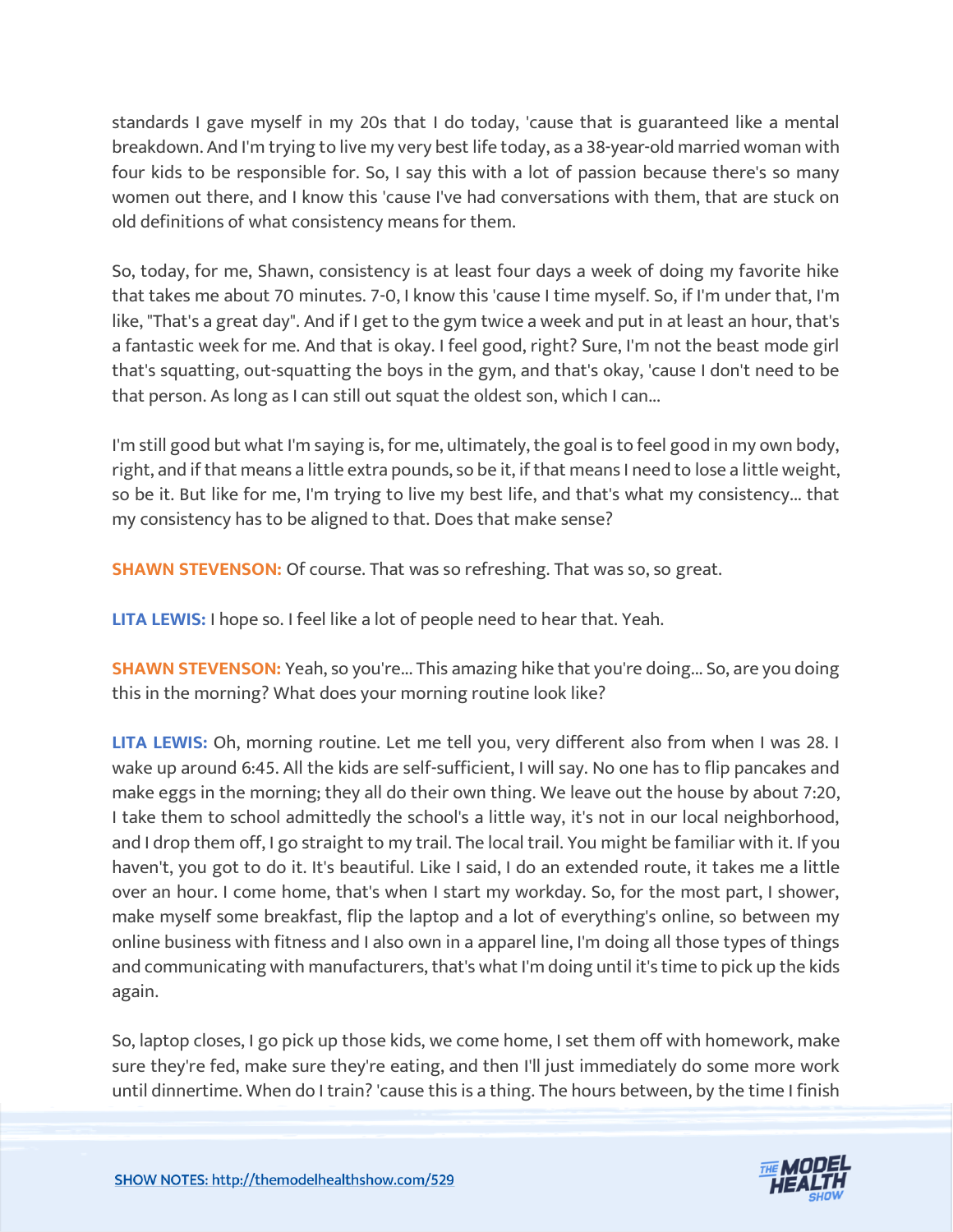standards I gave myself in my 20s that I do today, 'cause that is guaranteed like a mental breakdown. And I'm trying to live my very best life today, as a 38-year-old married woman with four kids to be responsible for. So, I say this with a lot of passion because there's so many women out there, and I know this 'cause I've had conversations with them, that are stuck on old definitions of what consistency means for them.

So, today, for me, Shawn, consistency is at least four days a week of doing my favorite hike that takes me about 70 minutes. 7-0, I know this 'cause I time myself. So, if I'm under that, I'm like, "That's a great day". And if I get to the gym twice a week and put in at least an hour, that's a fantastic week for me. And that is okay. I feel good, right? Sure, I'm not the beast mode girl that's squatting, out-squatting the boys in the gym, and that's okay, 'cause I don't need to be that person. As long as I can still out squat the oldest son, which I can...

I'm still good but what I'm saying is, for me, ultimately, the goal is to feel good in my own body, right, and if that means a little extra pounds, so be it, if that means I need to lose a little weight, so be it. But like for me, I'm trying to live my best life, and that's what my consistency... that my consistency has to be aligned to that. Does that make sense?

**SHAWN STEVENSON:** Of course. That was so refreshing. That was so, so great.

**LITA LEWIS:** I hope so. I feel like a lot of people need to hear that. Yeah.

**SHAWN STEVENSON:** Yeah, so you're... This amazing hike that you're doing... So, are you doing this in the morning? What does your morning routine look like?

**LITA LEWIS:** Oh, morning routine. Let me tell you, very different also from when I was 28. I wake up around 6:45. All the kids are self-sufficient, I will say. No one has to flip pancakes and make eggs in the morning; they all do their own thing. We leave out the house by about 7:20, I take them to school admittedly the school's a little way, it's not in our local neighborhood, and I drop them off, I go straight to my trail. The local trail. You might be familiar with it. If you haven't, you got to do it. It's beautiful. Like I said, I do an extended route, it takes me a little over an hour. I come home, that's when I start my workday. So, for the most part, I shower, make myself some breakfast, flip the laptop and a lot of everything's online, so between my online business with fitness and I also own in a apparel line, I'm doing all those types of things and communicating with manufacturers, that's what I'm doing until it's time to pick up the kids again.

So, laptop closes, I go pick up those kids, we come home, I set them off with homework, make sure they're fed, make sure they're eating, and then I'll just immediately do some more work until dinnertime. When do I train? 'cause this is a thing. The hours between, by the time I finish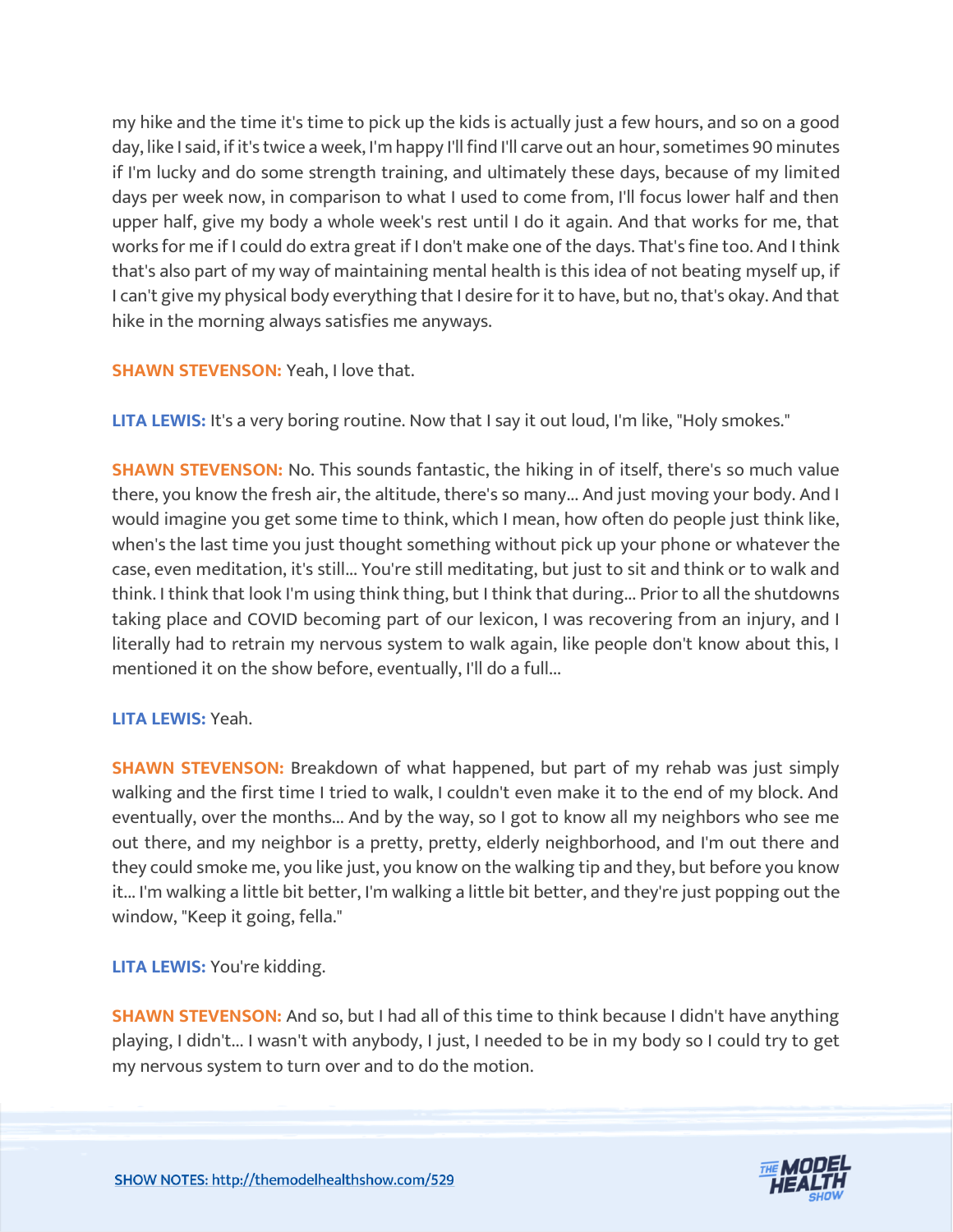my hike and the time it's time to pick up the kids is actually just a few hours, and so on a good day, like I said, if it's twice a week, I'm happy I'll find I'll carve out an hour, sometimes 90 minutes if I'm lucky and do some strength training, and ultimately these days, because of my limited days per week now, in comparison to what I used to come from, I'll focus lower half and then upper half, give my body a whole week's rest until I do it again. And that works for me, that works for me if I could do extra great if I don't make one of the days. That's fine too. And I think that's also part of my way of maintaining mental health is this idea of not beating myself up, if I can't give my physical body everything that I desire for it to have, but no, that's okay. And that hike in the morning always satisfies me anyways.

# **SHAWN STEVENSON: Yeah, I love that.**

**LITA LEWIS:** It's a very boring routine. Now that I say it out loud, I'm like, "Holy smokes."

**SHAWN STEVENSON:** No. This sounds fantastic, the hiking in of itself, there's so much value there, you know the fresh air, the altitude, there's so many... And just moving your body. And I would imagine you get some time to think, which I mean, how often do people just think like, when's the last time you just thought something without pick up your phone or whatever the case, even meditation, it's still... You're still meditating, but just to sit and think or to walk and think. I think that look I'm using think thing, but I think that during... Prior to all the shutdowns taking place and COVID becoming part of our lexicon, I was recovering from an injury, and I literally had to retrain my nervous system to walk again, like people don't know about this, I mentioned it on the show before, eventually, I'll do a full...

# **LITA LEWIS:** Yeah.

**SHAWN STEVENSON:** Breakdown of what happened, but part of my rehab was just simply walking and the first time I tried to walk, I couldn't even make it to the end of my block. And eventually, over the months... And by the way, so I got to know all my neighbors who see me out there, and my neighbor is a pretty, pretty, elderly neighborhood, and I'm out there and they could smoke me, you like just, you know on the walking tip and they, but before you know it... I'm walking a little bit better, I'm walking a little bit better, and they're just popping out the window, "Keep it going, fella."

**LITA LEWIS:** You're kidding.

**SHAWN STEVENSON:** And so, but I had all of this time to think because I didn't have anything playing, I didn't... I wasn't with anybody, I just, I needed to be in my body so I could try to get my nervous system to turn over and to do the motion.

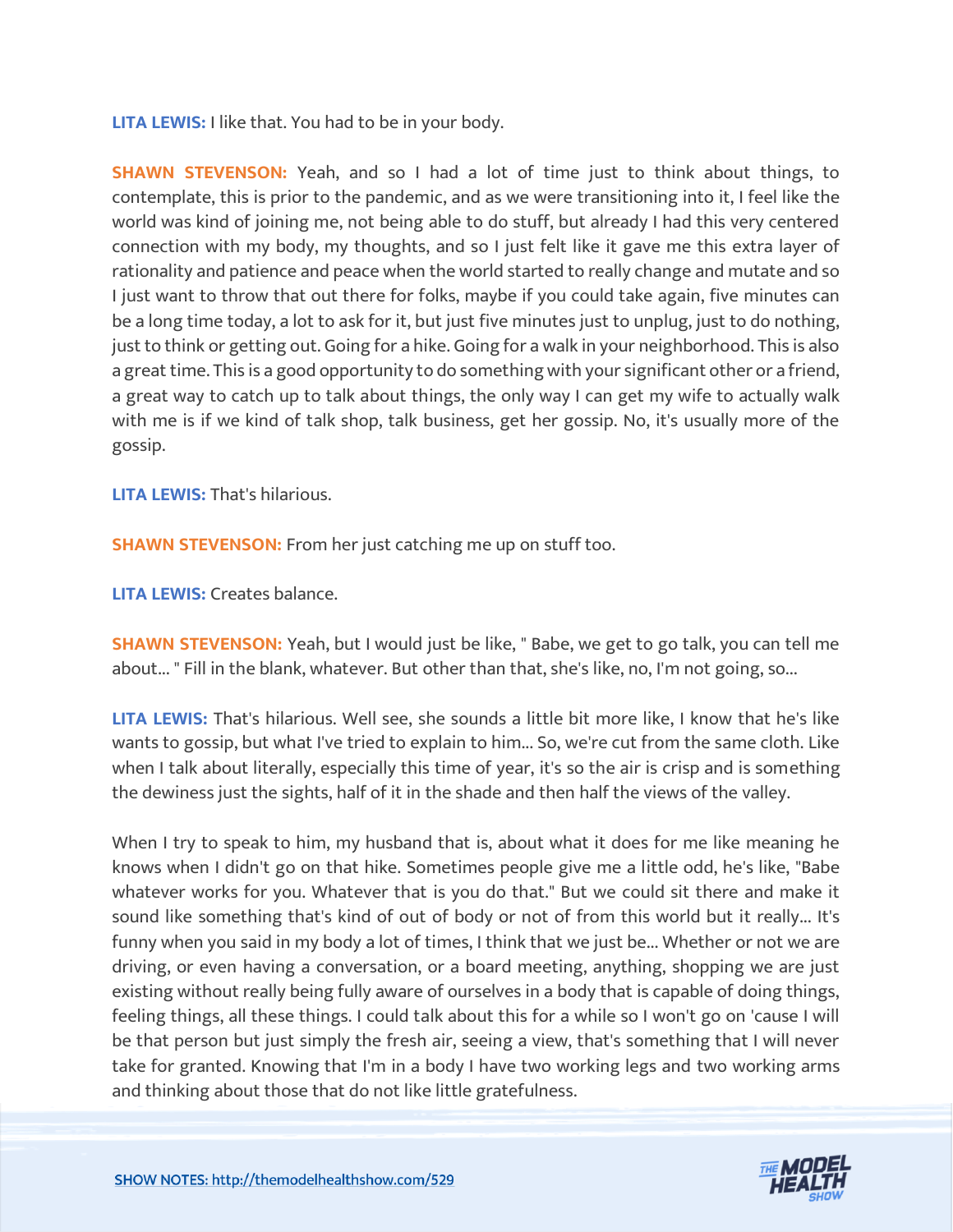**LITA LEWIS:** I like that. You had to be in your body.

**SHAWN STEVENSON:** Yeah, and so I had a lot of time just to think about things, to contemplate, this is prior to the pandemic, and as we were transitioning into it, I feel like the world was kind of joining me, not being able to do stuff, but already I had this very centered connection with my body, my thoughts, and so I just felt like it gave me this extra layer of rationality and patience and peace when the world started to really change and mutate and so I just want to throw that out there for folks, maybe if you could take again, five minutes can be a long time today, a lot to ask for it, but just five minutes just to unplug, just to do nothing, just to think or getting out. Going for a hike. Going for a walk in your neighborhood. This is also a great time. This is a good opportunity to do something with your significant other or a friend, a great way to catch up to talk about things, the only way I can get my wife to actually walk with me is if we kind of talk shop, talk business, get her gossip. No, it's usually more of the gossip.

**LITA LEWIS:** That's hilarious.

**SHAWN STEVENSON:** From her just catching me up on stuff too.

**LITA LEWIS:** Creates balance.

**SHAWN STEVENSON:** Yeah, but I would just be like, " Babe, we get to go talk, you can tell me about... " Fill in the blank, whatever. But other than that, she's like, no, I'm not going, so...

**LITA LEWIS:** That's hilarious. Well see, she sounds a little bit more like, I know that he's like wants to gossip, but what I've tried to explain to him... So, we're cut from the same cloth. Like when I talk about literally, especially this time of year, it's so the air is crisp and is something the dewiness just the sights, half of it in the shade and then half the views of the valley.

When I try to speak to him, my husband that is, about what it does for me like meaning he knows when I didn't go on that hike. Sometimes people give me a little odd, he's like, "Babe whatever works for you. Whatever that is you do that." But we could sit there and make it sound like something that's kind of out of body or not of from this world but it really... It's funny when you said in my body a lot of times, I think that we just be... Whether or not we are driving, or even having a conversation, or a board meeting, anything, shopping we are just existing without really being fully aware of ourselves in a body that is capable of doing things, feeling things, all these things. I could talk about this for a while so I won't go on 'cause I will be that person but just simply the fresh air, seeing a view, that's something that I will never take for granted. Knowing that I'm in a body I have two working legs and two working arms and thinking about those that do not like little gratefulness.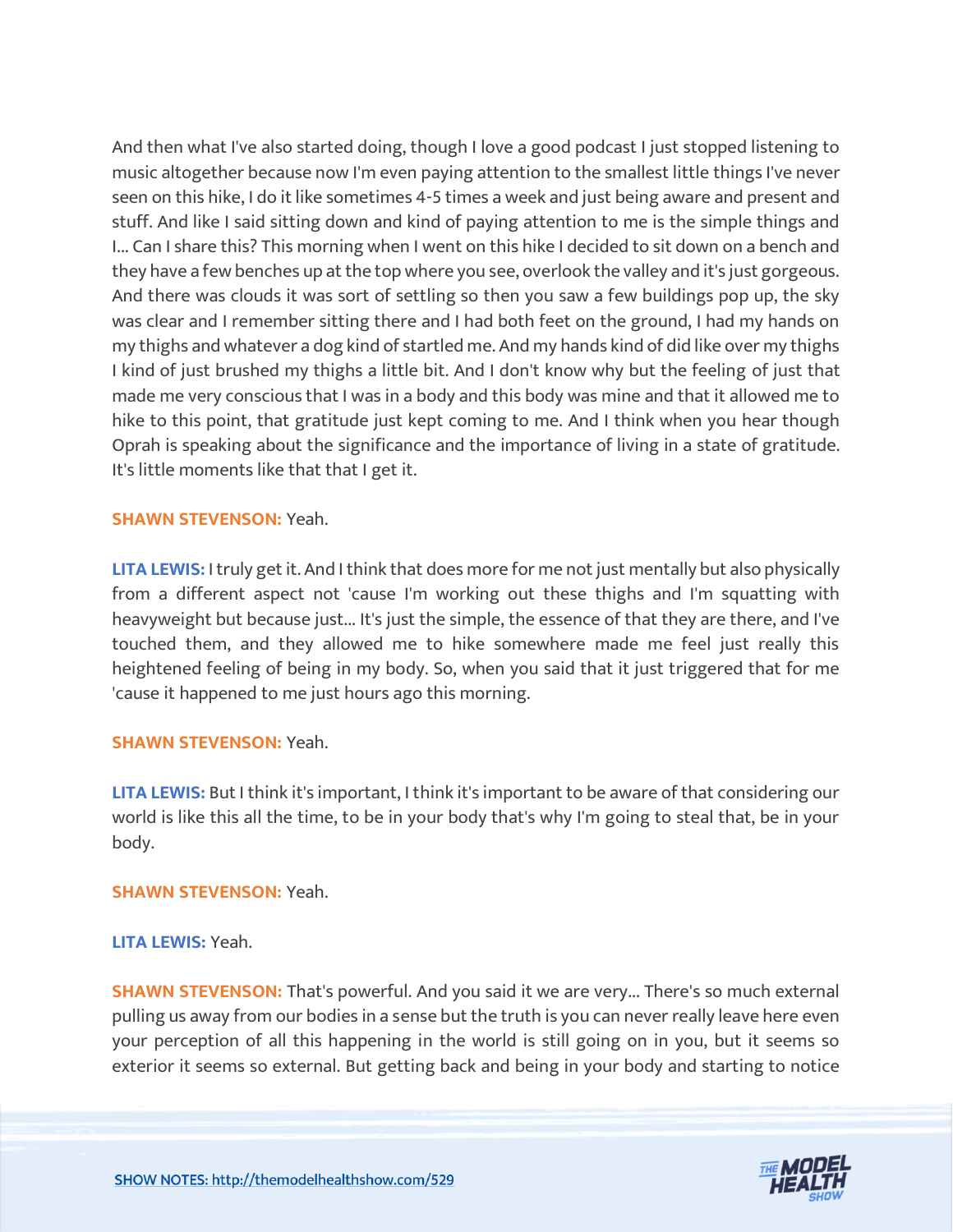And then what I've also started doing, though I love a good podcast I just stopped listening to music altogether because now I'm even paying attention to the smallest little things I've never seen on this hike, I do it like sometimes 4-5 times a week and just being aware and present and stuff. And like I said sitting down and kind of paying attention to me is the simple things and I... Can I share this? This morning when I went on this hike I decided to sit down on a bench and they have a few benches up at the top where you see, overlook the valley and it's just gorgeous. And there was clouds it was sort of settling so then you saw a few buildings pop up, the sky was clear and I remember sitting there and I had both feet on the ground, I had my hands on my thighs and whatever a dog kind of startled me. And my hands kind of did like over my thighs I kind of just brushed my thighs a little bit. And I don't know why but the feeling of just that made me very conscious that I was in a body and this body was mine and that it allowed me to hike to this point, that gratitude just kept coming to me. And I think when you hear though Oprah is speaking about the significance and the importance of living in a state of gratitude. It's little moments like that that I get it.

#### **SHAWN STEVENSON:** Yeah.

**LITA LEWIS:** I truly get it. And I think that does more for me not just mentally but also physically from a different aspect not 'cause I'm working out these thighs and I'm squatting with heavyweight but because just... It's just the simple, the essence of that they are there, and I've touched them, and they allowed me to hike somewhere made me feel just really this heightened feeling of being in my body. So, when you said that it just triggered that for me 'cause it happened to me just hours ago this morning.

#### **SHAWN STEVENSON:** Yeah.

**LITA LEWIS:** But I think it's important, I think it's important to be aware of that considering our world is like this all the time, to be in your body that's why I'm going to steal that, be in your body.

#### **SHAWN STEVENSON:** Yeah.

#### **LITA LEWIS:** Yeah.

**SHAWN STEVENSON:** That's powerful. And you said it we are very... There's so much external pulling us away from our bodies in a sense but the truth is you can never really leave here even your perception of all this happening in the world is still going on in you, but it seems so exterior it seems so external. But getting back and being in your body and starting to notice

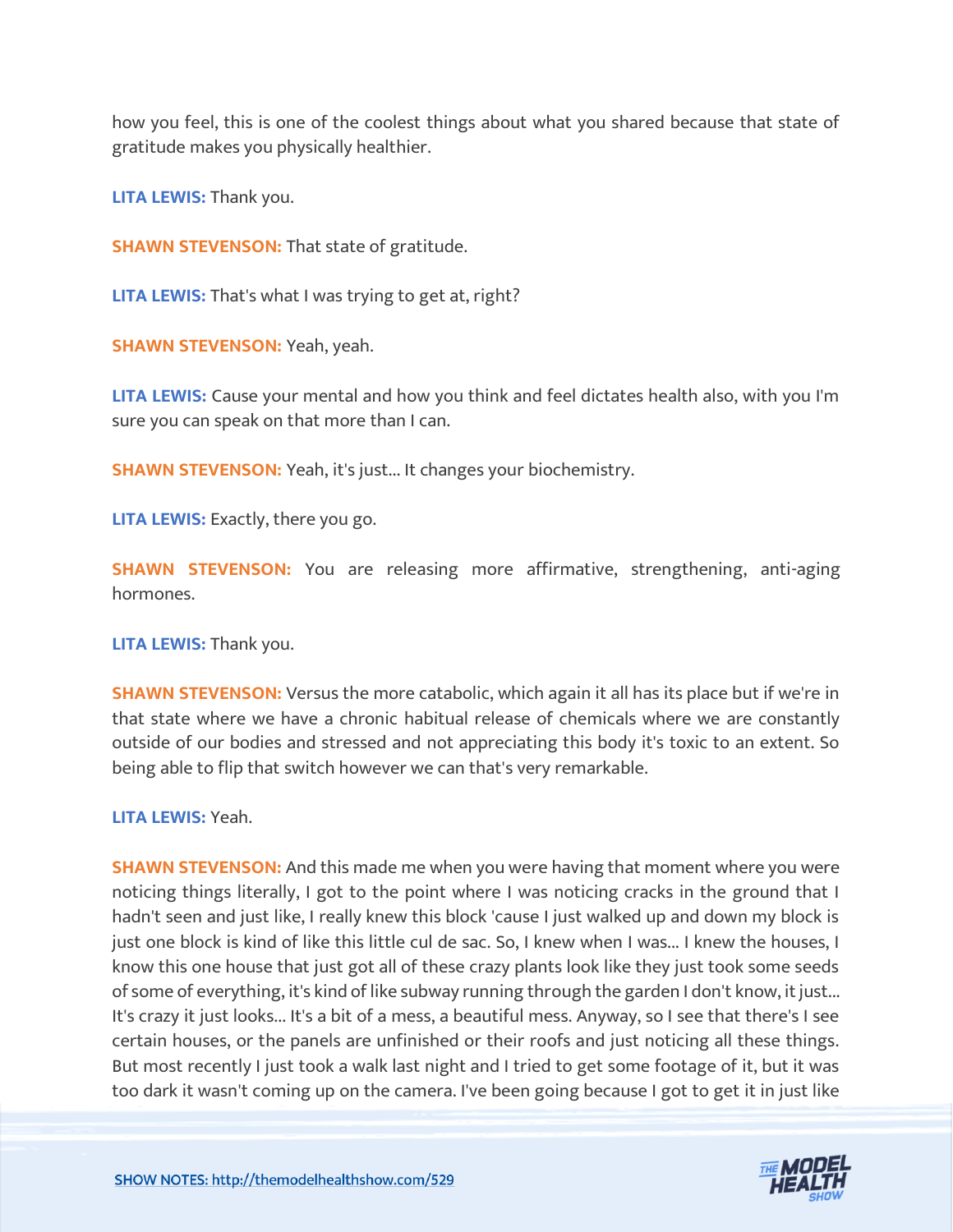how you feel, this is one of the coolest things about what you shared because that state of gratitude makes you physically healthier.

**LITA LEWIS:** Thank you.

**SHAWN STEVENSON: That state of gratitude.** 

**LITA LEWIS:** That's what I was trying to get at, right?

**SHAWN STEVENSON:** Yeah, yeah.

**LITA LEWIS:** Cause your mental and how you think and feel dictates health also, with you I'm sure you can speak on that more than I can.

**SHAWN STEVENSON:** Yeah, it's just... It changes your biochemistry.

**LITA LEWIS:** Exactly, there you go.

**SHAWN STEVENSON:** You are releasing more affirmative, strengthening, anti-aging hormones.

**LITA LEWIS:** Thank you.

**SHAWN STEVENSON:** Versus the more catabolic, which again it all has its place but if we're in that state where we have a chronic habitual release of chemicals where we are constantly outside of our bodies and stressed and not appreciating this body it's toxic to an extent. So being able to flip that switch however we can that's very remarkable.

#### **LITA LEWIS:** Yeah.

**SHAWN STEVENSON:** And this made me when you were having that moment where you were noticing things literally, I got to the point where I was noticing cracks in the ground that I hadn't seen and just like, I really knew this block 'cause I just walked up and down my block is just one block is kind of like this little cul de sac. So, I knew when I was... I knew the houses, I know this one house that just got all of these crazy plants look like they just took some seeds of some of everything, it's kind of like subway running through the garden I don't know, it just... It's crazy it just looks... It's a bit of a mess, a beautiful mess. Anyway, so I see that there's I see certain houses, or the panels are unfinished or their roofs and just noticing all these things. But most recently I just took a walk last night and I tried to get some footage of it, but it was too dark it wasn't coming up on the camera. I've been going because I got to get it in just like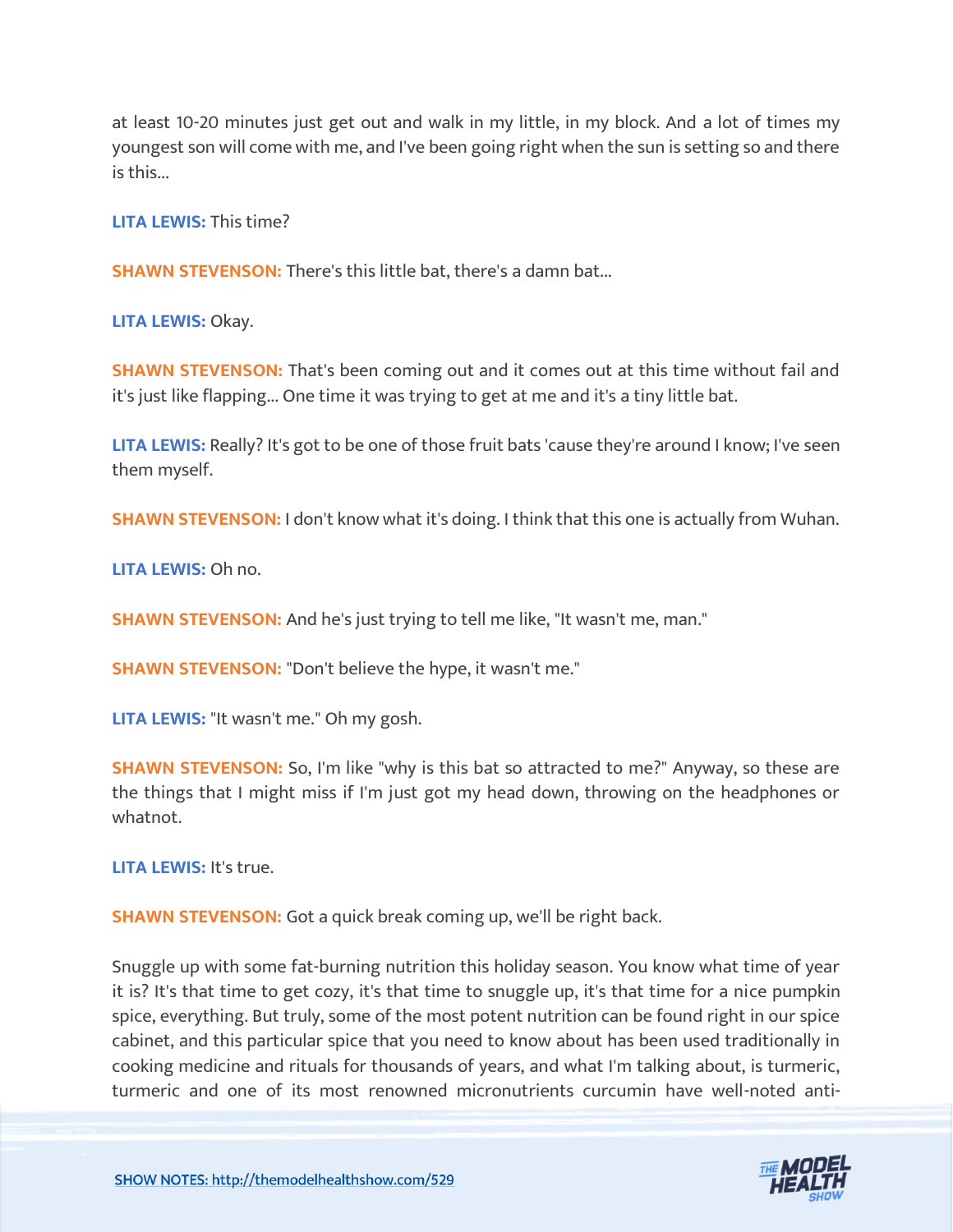at least 10-20 minutes just get out and walk in my little, in my block. And a lot of times my youngest son will come with me, and I've been going right when the sun is setting so and there is this...

**LITA LEWIS:** This time?

**SHAWN STEVENSON:** There's this little bat, there's a damn bat...

**LITA LEWIS:** Okay.

**SHAWN STEVENSON:** That's been coming out and it comes out at this time without fail and it's just like flapping... One time it was trying to get at me and it's a tiny little bat.

**LITA LEWIS:** Really? It's got to be one of those fruit bats 'cause they're around I know; I've seen them myself.

**SHAWN STEVENSON:** I don't know what it's doing. I think that this one is actually from Wuhan.

**LITA LEWIS:** Oh no.

**SHAWN STEVENSON:** And he's just trying to tell me like, "It wasn't me, man."

**SHAWN STEVENSON:** "Don't believe the hype, it wasn't me."

**LITA LEWIS:** "It wasn't me." Oh my gosh.

**SHAWN STEVENSON:** So, I'm like "why is this bat so attracted to me?" Anyway, so these are the things that I might miss if I'm just got my head down, throwing on the headphones or whatnot.

**LITA LEWIS:** It's true.

**SHAWN STEVENSON:** Got a quick break coming up, we'll be right back.

Snuggle up with some fat-burning nutrition this holiday season. You know what time of year it is? It's that time to get cozy, it's that time to snuggle up, it's that time for a nice pumpkin spice, everything. But truly, some of the most potent nutrition can be found right in our spice cabinet, and this particular spice that you need to know about has been used traditionally in cooking medicine and rituals for thousands of years, and what I'm talking about, is turmeric, turmeric and one of its most renowned micronutrients curcumin have well-noted anti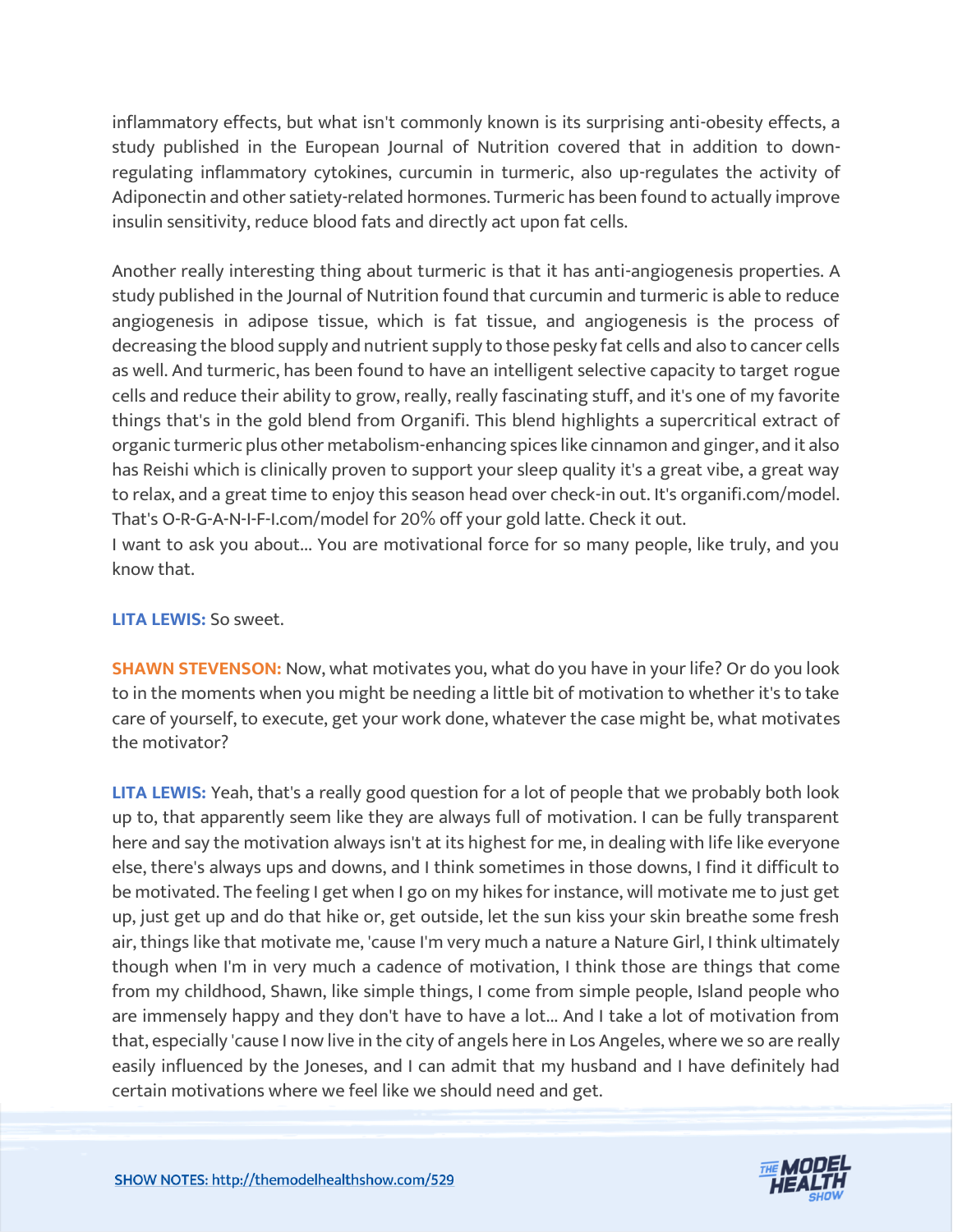inflammatory effects, but what isn't commonly known is its surprising anti-obesity effects, a study published in the European Journal of Nutrition covered that in addition to downregulating inflammatory cytokines, curcumin in turmeric, also up-regulates the activity of Adiponectin and other satiety-related hormones. Turmeric has been found to actually improve insulin sensitivity, reduce blood fats and directly act upon fat cells.

Another really interesting thing about turmeric is that it has anti-angiogenesis properties. A study published in the Journal of Nutrition found that curcumin and turmeric is able to reduce angiogenesis in adipose tissue, which is fat tissue, and angiogenesis is the process of decreasing the blood supply and nutrient supply to those pesky fat cells and also to cancer cells as well. And turmeric, has been found to have an intelligent selective capacity to target rogue cells and reduce their ability to grow, really, really fascinating stuff, and it's one of my favorite things that's in the gold blend from Organifi. This blend highlights a supercritical extract of organic turmeric plus other metabolism-enhancing spices like cinnamon and ginger, and it also has Reishi which is clinically proven to support your sleep quality it's a great vibe, a great way to relax, and a great time to enjoy this season head over check-in out. It's organifi.com/model. That's O-R-G-A-N-I-F-I.com/model for 20% off your gold latte. Check it out.

I want to ask you about... You are motivational force for so many people, like truly, and you know that.

# **LITA LEWIS:** So sweet.

**SHAWN STEVENSON:** Now, what motivates you, what do you have in your life? Or do you look to in the moments when you might be needing a little bit of motivation to whether it's to take care of yourself, to execute, get your work done, whatever the case might be, what motivates the motivator?

**LITA LEWIS:** Yeah, that's a really good question for a lot of people that we probably both look up to, that apparently seem like they are always full of motivation. I can be fully transparent here and say the motivation always isn't at its highest for me, in dealing with life like everyone else, there's always ups and downs, and I think sometimes in those downs, I find it difficult to be motivated. The feeling I get when I go on my hikes for instance, will motivate me to just get up, just get up and do that hike or, get outside, let the sun kiss your skin breathe some fresh air, things like that motivate me, 'cause I'm very much a nature a Nature Girl, I think ultimately though when I'm in very much a cadence of motivation, I think those are things that come from my childhood, Shawn, like simple things, I come from simple people, Island people who are immensely happy and they don't have to have a lot... And I take a lot of motivation from that, especially 'cause I now live in the city of angels here in Los Angeles, where we so are really easily influenced by the Joneses, and I can admit that my husband and I have definitely had certain motivations where we feel like we should need and get.

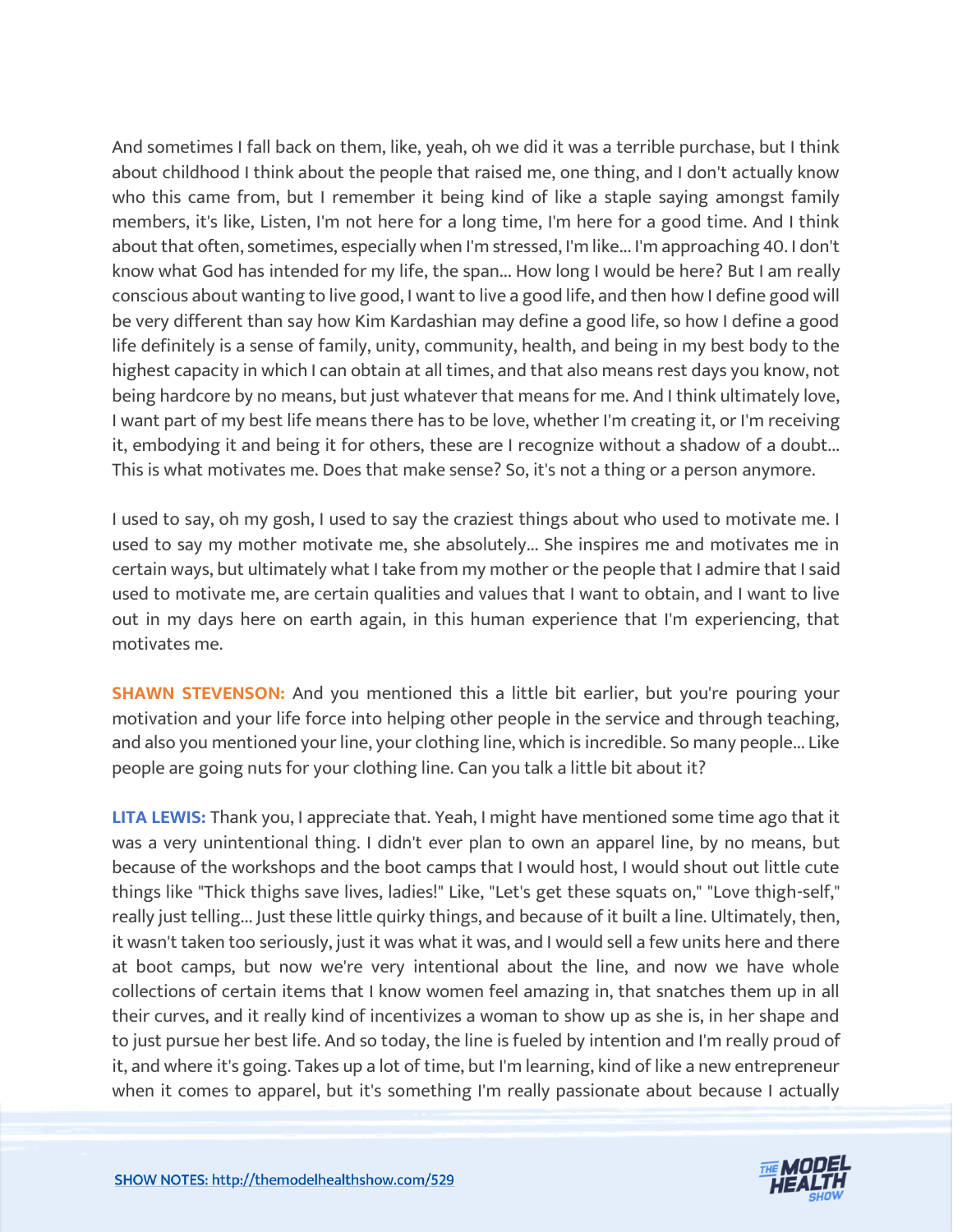And sometimes I fall back on them, like, yeah, oh we did it was a terrible purchase, but I think about childhood I think about the people that raised me, one thing, and I don't actually know who this came from, but I remember it being kind of like a staple saying amongst family members, it's like, Listen, I'm not here for a long time, I'm here for a good time. And I think about that often, sometimes, especially when I'm stressed, I'm like... I'm approaching 40. I don't know what God has intended for my life, the span... How long I would be here? But I am really conscious about wanting to live good, I want to live a good life, and then how I define good will be very different than say how Kim Kardashian may define a good life, so how I define a good life definitely is a sense of family, unity, community, health, and being in my best body to the highest capacity in which I can obtain at all times, and that also means rest days you know, not being hardcore by no means, but just whatever that means for me. And I think ultimately love, I want part of my best life means there has to be love, whether I'm creating it, or I'm receiving it, embodying it and being it for others, these are I recognize without a shadow of a doubt... This is what motivates me. Does that make sense? So, it's not a thing or a person anymore.

I used to say, oh my gosh, I used to say the craziest things about who used to motivate me. I used to say my mother motivate me, she absolutely... She inspires me and motivates me in certain ways, but ultimately what I take from my mother or the people that I admire that I said used to motivate me, are certain qualities and values that I want to obtain, and I want to live out in my days here on earth again, in this human experience that I'm experiencing, that motivates me.

**SHAWN STEVENSON:** And you mentioned this a little bit earlier, but you're pouring your motivation and your life force into helping other people in the service and through teaching, and also you mentioned your line, your clothing line, which is incredible. So many people... Like people are going nuts for your clothing line. Can you talk a little bit about it?

**LITA LEWIS:** Thank you, I appreciate that. Yeah, I might have mentioned some time ago that it was a very unintentional thing. I didn't ever plan to own an apparel line, by no means, but because of the workshops and the boot camps that I would host, I would shout out little cute things like "Thick thighs save lives, ladies!" Like, "Let's get these squats on," "Love thigh-self," really just telling... Just these little quirky things, and because of it built a line. Ultimately, then, it wasn't taken too seriously, just it was what it was, and I would sell a few units here and there at boot camps, but now we're very intentional about the line, and now we have whole collections of certain items that I know women feel amazing in, that snatches them up in all their curves, and it really kind of incentivizes a woman to show up as she is, in her shape and to just pursue her best life. And so today, the line is fueled by intention and I'm really proud of it, and where it's going. Takes up a lot of time, but I'm learning, kind of like a new entrepreneur when it comes to apparel, but it's something I'm really passionate about because I actually

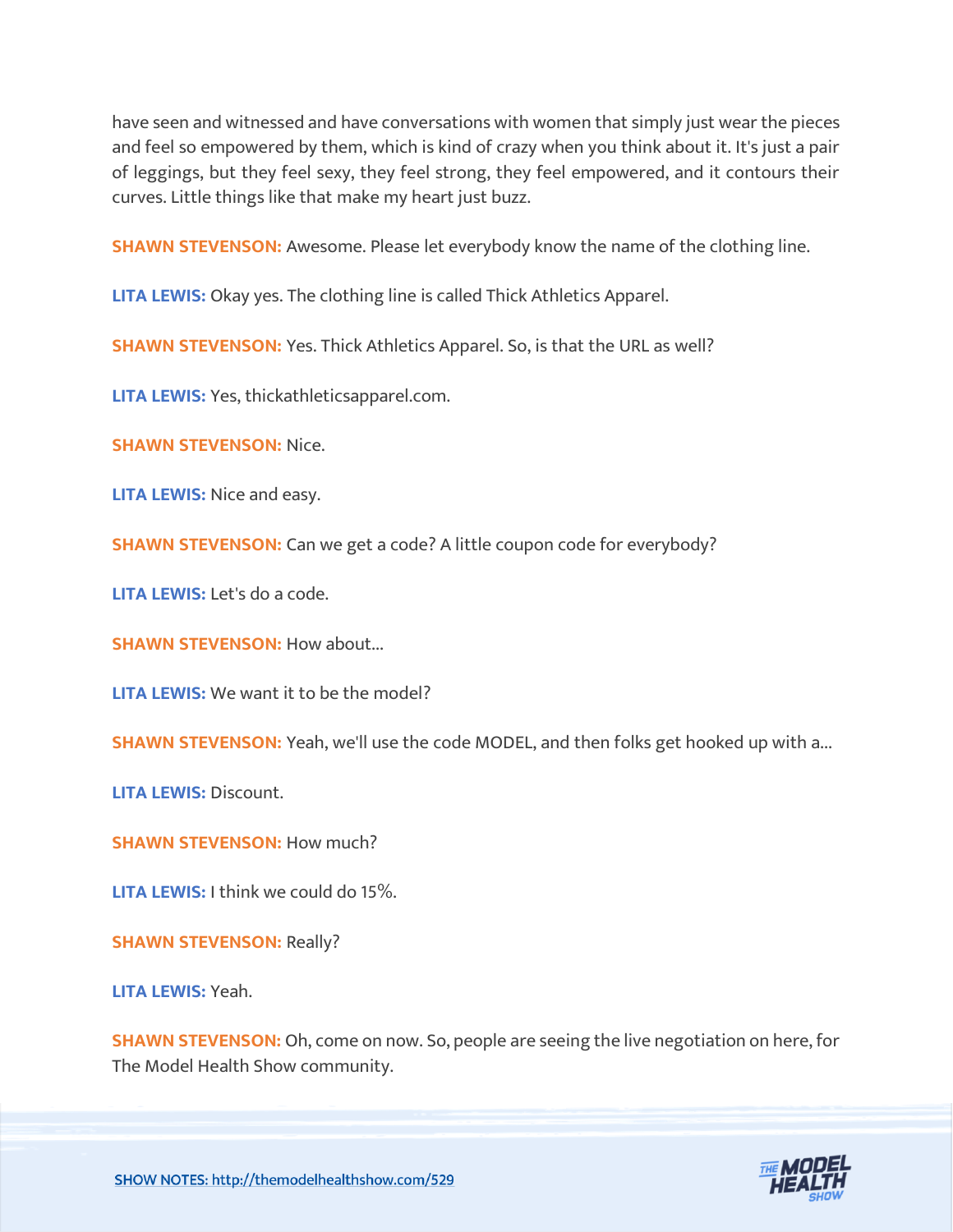have seen and witnessed and have conversations with women that simply just wear the pieces and feel so empowered by them, which is kind of crazy when you think about it. It's just a pair of leggings, but they feel sexy, they feel strong, they feel empowered, and it contours their curves. Little things like that make my heart just buzz.

**SHAWN STEVENSON:** Awesome. Please let everybody know the name of the clothing line.

**LITA LEWIS:** Okay yes. The clothing line is called Thick Athletics Apparel.

**SHAWN STEVENSON:** Yes. Thick Athletics Apparel. So, is that the URL as well?

**LITA LEWIS:** Yes, thickathleticsapparel.com.

**SHAWN STEVENSON:** Nice.

**LITA LEWIS:** Nice and easy.

**SHAWN STEVENSON:** Can we get a code? A little coupon code for everybody?

**LITA LEWIS:** Let's do a code.

**SHAWN STEVENSON: How about...** 

**LITA LEWIS:** We want it to be the model?

**SHAWN STEVENSON:** Yeah, we'll use the code MODEL, and then folks get hooked up with a...

**LITA LEWIS:** Discount.

**SHAWN STEVENSON: How much?** 

**LITA LEWIS:** I think we could do 15%.

**SHAWN STEVENSON: Really?** 

**LITA LEWIS:** Yeah.

**SHAWN STEVENSON:** Oh, come on now. So, people are seeing the live negotiation on here, for The Model Health Show community.

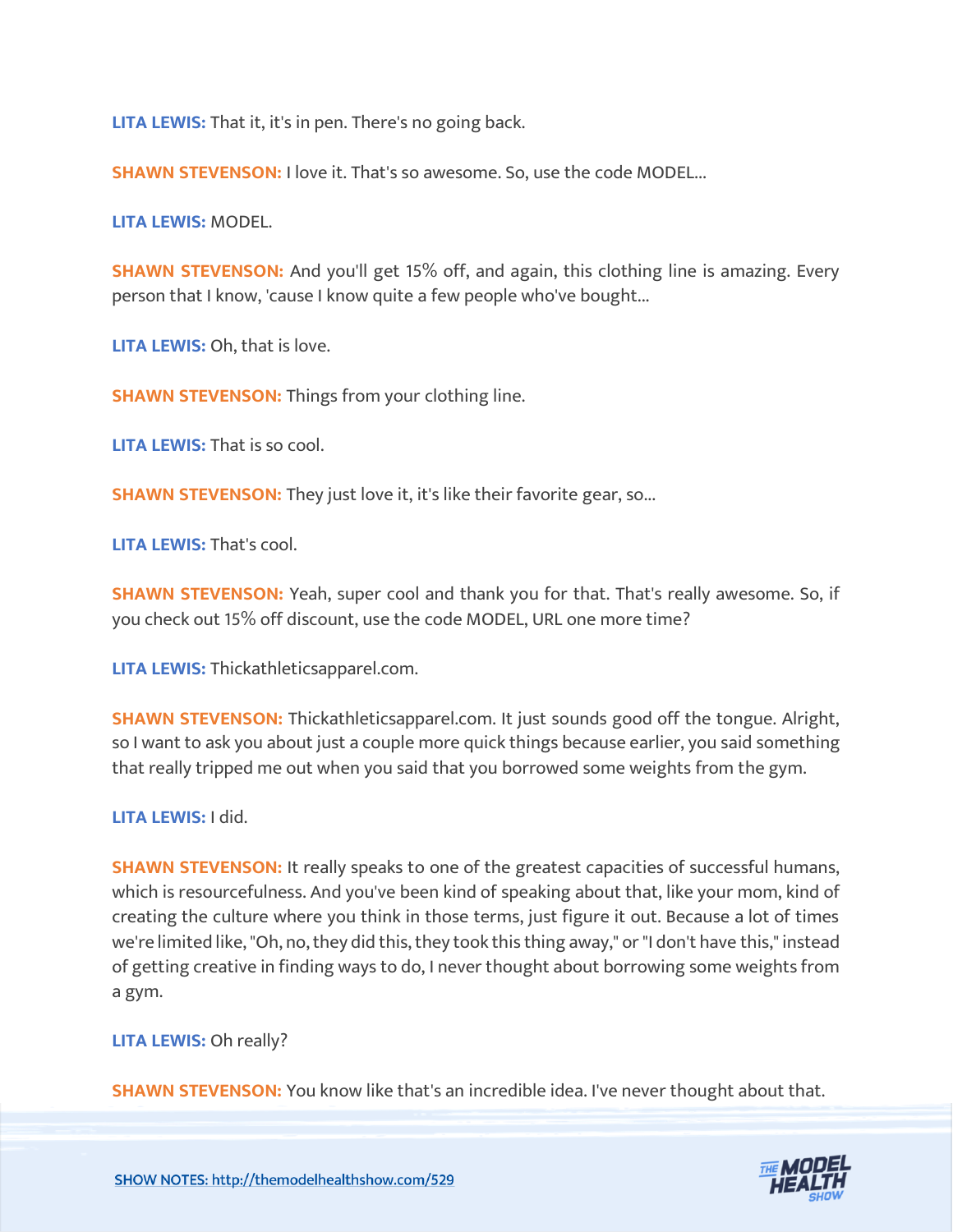**LITA LEWIS:** That it, it's in pen. There's no going back.

**SHAWN STEVENSON:** I love it. That's so awesome. So, use the code MODEL...

**LITA LEWIS:** MODEL.

**SHAWN STEVENSON:** And you'll get 15% off, and again, this clothing line is amazing. Every person that I know, 'cause I know quite a few people who've bought...

**LITA LEWIS:** Oh, that is love.

**SHAWN STEVENSON:** Things from your clothing line.

**LITA LEWIS:** That is so cool.

**SHAWN STEVENSON:** They just love it, it's like their favorite gear, so...

**LITA LEWIS:** That's cool.

**SHAWN STEVENSON:** Yeah, super cool and thank you for that. That's really awesome. So, if you check out 15% off discount, use the code MODEL, URL one more time?

**LITA LEWIS:** Thickathleticsapparel.com.

**SHAWN STEVENSON:** Thickathleticsapparel.com. It just sounds good off the tongue. Alright, so I want to ask you about just a couple more quick things because earlier, you said something that really tripped me out when you said that you borrowed some weights from the gym.

# **LITA LEWIS:** I did.

**SHAWN STEVENSON:** It really speaks to one of the greatest capacities of successful humans, which is resourcefulness. And you've been kind of speaking about that, like your mom, kind of creating the culture where you think in those terms, just figure it out. Because a lot of times we're limited like, "Oh, no, they did this, they took this thing away," or "I don't have this," instead of getting creative in finding ways to do, I never thought about borrowing some weights from a gym.

#### **LITA LEWIS:** Oh really?

**SHAWN STEVENSON:** You know like that's an incredible idea. I've never thought about that.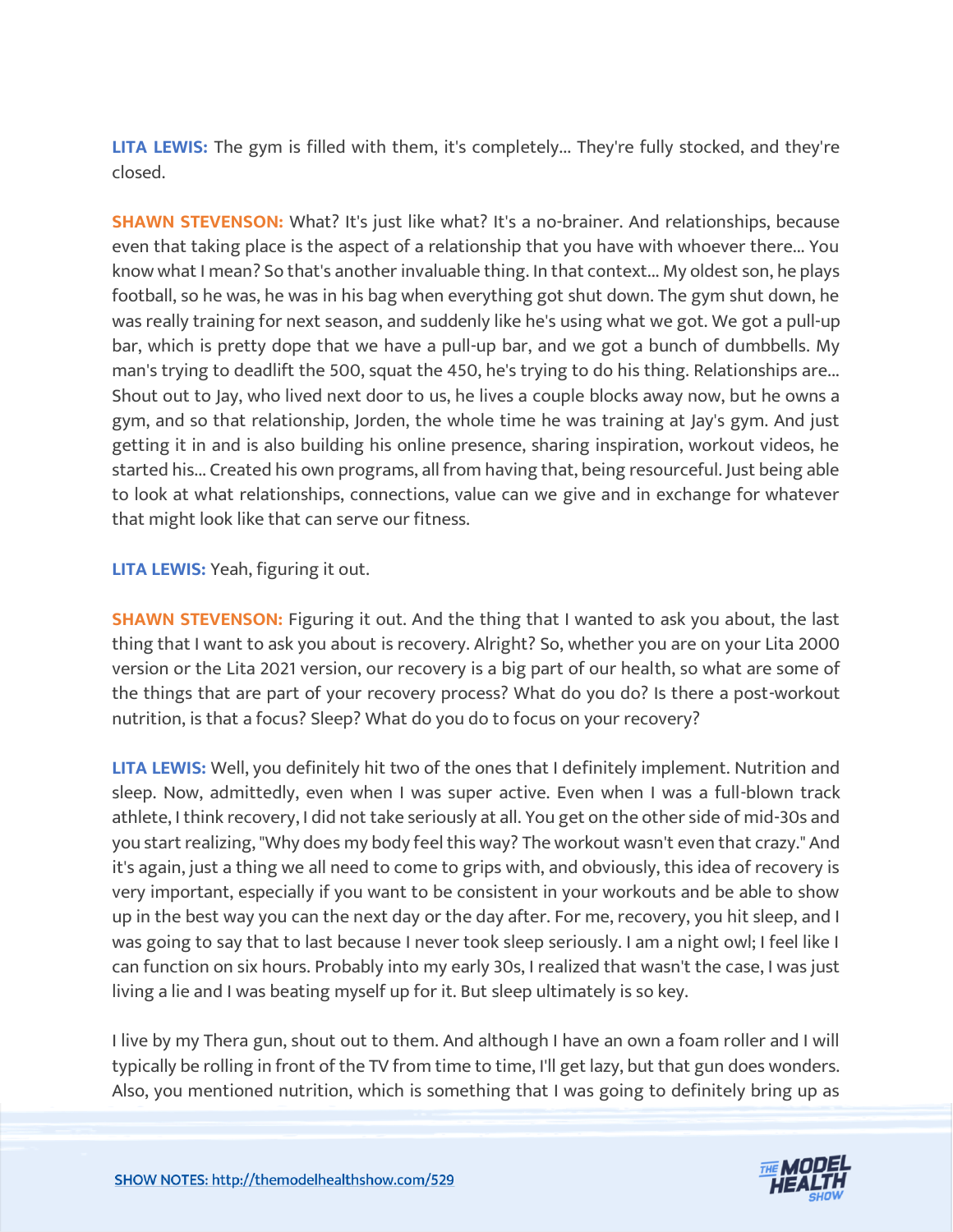**LITA LEWIS:** The gym is filled with them, it's completely... They're fully stocked, and they're closed.

**SHAWN STEVENSON:** What? It's just like what? It's a no-brainer. And relationships, because even that taking place is the aspect of a relationship that you have with whoever there... You know what I mean? So that's another invaluable thing. In that context... My oldest son, he plays football, so he was, he was in his bag when everything got shut down. The gym shut down, he was really training for next season, and suddenly like he's using what we got. We got a pull-up bar, which is pretty dope that we have a pull-up bar, and we got a bunch of dumbbells. My man's trying to deadlift the 500, squat the 450, he's trying to do his thing. Relationships are... Shout out to Jay, who lived next door to us, he lives a couple blocks away now, but he owns a gym, and so that relationship, Jorden, the whole time he was training at Jay's gym. And just getting it in and is also building his online presence, sharing inspiration, workout videos, he started his... Created his own programs, all from having that, being resourceful. Just being able to look at what relationships, connections, value can we give and in exchange for whatever that might look like that can serve our fitness.

**LITA LEWIS:** Yeah, figuring it out.

**SHAWN STEVENSON:** Figuring it out. And the thing that I wanted to ask you about, the last thing that I want to ask you about is recovery. Alright? So, whether you are on your Lita 2000 version or the Lita 2021 version, our recovery is a big part of our health, so what are some of the things that are part of your recovery process? What do you do? Is there a post-workout nutrition, is that a focus? Sleep? What do you do to focus on your recovery?

**LITA LEWIS:** Well, you definitely hit two of the ones that I definitely implement. Nutrition and sleep. Now, admittedly, even when I was super active. Even when I was a full-blown track athlete, I think recovery, I did not take seriously at all. You get on the other side of mid-30s and you start realizing, "Why does my body feel this way? The workout wasn't even that crazy." And it's again, just a thing we all need to come to grips with, and obviously, this idea of recovery is very important, especially if you want to be consistent in your workouts and be able to show up in the best way you can the next day or the day after. For me, recovery, you hit sleep, and I was going to say that to last because I never took sleep seriously. I am a night owl; I feel like I can function on six hours. Probably into my early 30s, I realized that wasn't the case, I was just living a lie and I was beating myself up for it. But sleep ultimately is so key.

I live by my Thera gun, shout out to them. And although I have an own a foam roller and I will typically be rolling in front of the TV from time to time, I'll get lazy, but that gun does wonders. Also, you mentioned nutrition, which is something that I was going to definitely bring up as

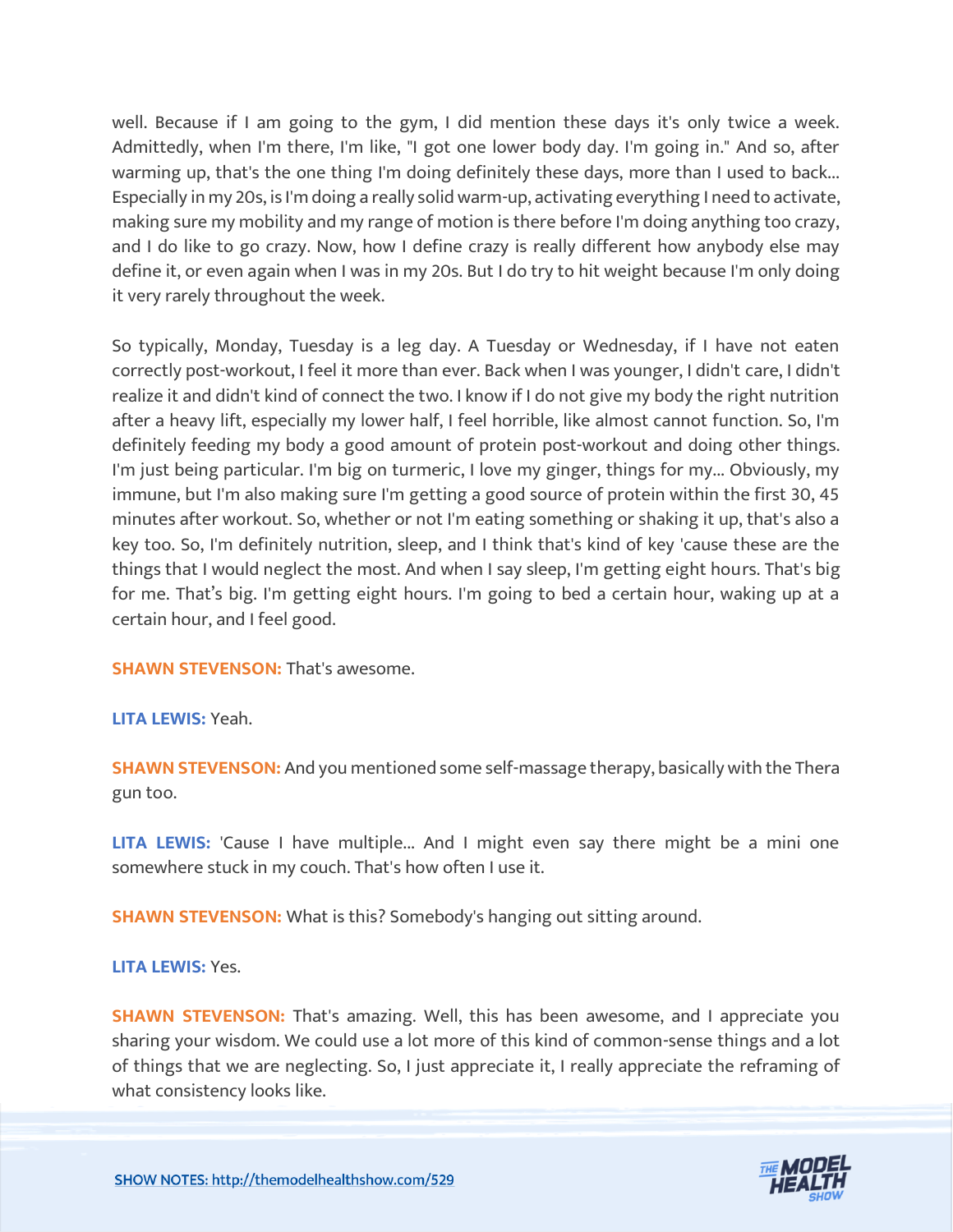well. Because if I am going to the gym, I did mention these days it's only twice a week. Admittedly, when I'm there, I'm like, "I got one lower body day. I'm going in." And so, after warming up, that's the one thing I'm doing definitely these days, more than I used to back... Especially in my 20s, is I'm doing a really solid warm-up, activating everything I need to activate, making sure my mobility and my range of motion is there before I'm doing anything too crazy, and I do like to go crazy. Now, how I define crazy is really different how anybody else may define it, or even again when I was in my 20s. But I do try to hit weight because I'm only doing it very rarely throughout the week.

So typically, Monday, Tuesday is a leg day. A Tuesday or Wednesday, if I have not eaten correctly post-workout, I feel it more than ever. Back when I was younger, I didn't care, I didn't realize it and didn't kind of connect the two. I know if I do not give my body the right nutrition after a heavy lift, especially my lower half, I feel horrible, like almost cannot function. So, I'm definitely feeding my body a good amount of protein post-workout and doing other things. I'm just being particular. I'm big on turmeric, I love my ginger, things for my... Obviously, my immune, but I'm also making sure I'm getting a good source of protein within the first 30, 45 minutes after workout. So, whether or not I'm eating something or shaking it up, that's also a key too. So, I'm definitely nutrition, sleep, and I think that's kind of key 'cause these are the things that I would neglect the most. And when I say sleep, I'm getting eight hours. That's big for me. That's big. I'm getting eight hours. I'm going to bed a certain hour, waking up at a certain hour, and I feel good.

**SHAWN STEVENSON: That's awesome.** 

# **LITA LEWIS:** Yeah.

**SHAWN STEVENSON:** And you mentioned some self-massage therapy, basically with the Thera gun too.

**LITA LEWIS:** 'Cause I have multiple... And I might even say there might be a mini one somewhere stuck in my couch. That's how often I use it.

**SHAWN STEVENSON:** What is this? Somebody's hanging out sitting around.

# **LITA LEWIS:** Yes.

**SHAWN STEVENSON:** That's amazing. Well, this has been awesome, and I appreciate you sharing your wisdom. We could use a lot more of this kind of common-sense things and a lot of things that we are neglecting. So, I just appreciate it, I really appreciate the reframing of what consistency looks like.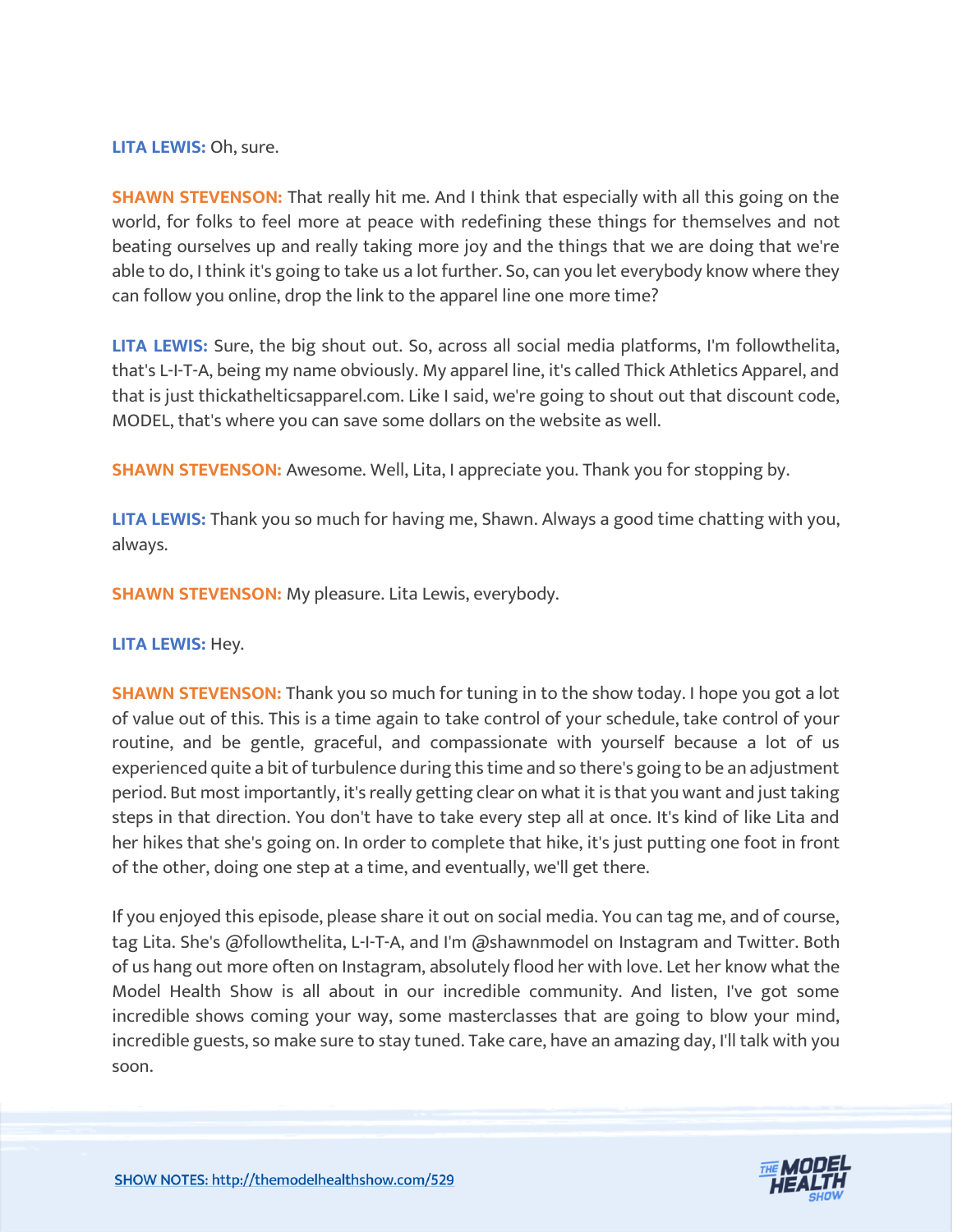**LITA LEWIS:** Oh, sure.

**SHAWN STEVENSON:** That really hit me. And I think that especially with all this going on the world, for folks to feel more at peace with redefining these things for themselves and not beating ourselves up and really taking more joy and the things that we are doing that we're able to do, I think it's going to take us a lot further. So, can you let everybody know where they can follow you online, drop the link to the apparel line one more time?

**LITA LEWIS:** Sure, the big shout out. So, across all social media platforms, I'm followthelita, that's L-I-T-A, being my name obviously. My apparel line, it's called Thick Athletics Apparel, and that is just thickathelticsapparel.com. Like I said, we're going to shout out that discount code, MODEL, that's where you can save some dollars on the website as well.

**SHAWN STEVENSON:** Awesome. Well, Lita, I appreciate you. Thank you for stopping by.

**LITA LEWIS:** Thank you so much for having me, Shawn. Always a good time chatting with you, always.

**SHAWN STEVENSON:** My pleasure. Lita Lewis, everybody.

**LITA LEWIS:** Hey.

**SHAWN STEVENSON:** Thank you so much for tuning in to the show today. I hope you got a lot of value out of this. This is a time again to take control of your schedule, take control of your routine, and be gentle, graceful, and compassionate with yourself because a lot of us experienced quite a bit of turbulence during this time and so there's going to be an adjustment period. But most importantly, it's really getting clear on what it is that you want and just taking steps in that direction. You don't have to take every step all at once. It's kind of like Lita and her hikes that she's going on. In order to complete that hike, it's just putting one foot in front of the other, doing one step at a time, and eventually, we'll get there.

If you enjoyed this episode, please share it out on social media. You can tag me, and of course, tag Lita. She's @followthelita, L-I-T-A, and I'm @shawnmodel on Instagram and Twitter. Both of us hang out more often on Instagram, absolutely flood her with love. Let her know what the Model Health Show is all about in our incredible community. And listen, I've got some incredible shows coming your way, some masterclasses that are going to blow your mind, incredible guests, so make sure to stay tuned. Take care, have an amazing day, I'll talk with you soon.